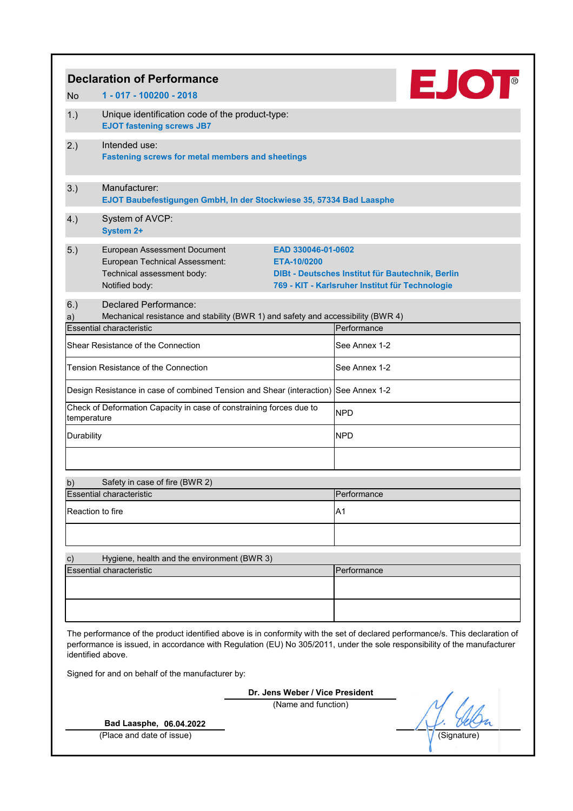|                                                                                                                                                                                                                                                                                                                                   | <b>EJOT</b><br><b>Declaration of Performance</b>                                                                                                           |                                                                                                                           |             |  |
|-----------------------------------------------------------------------------------------------------------------------------------------------------------------------------------------------------------------------------------------------------------------------------------------------------------------------------------|------------------------------------------------------------------------------------------------------------------------------------------------------------|---------------------------------------------------------------------------------------------------------------------------|-------------|--|
| <b>No</b>                                                                                                                                                                                                                                                                                                                         | 1 - 017 - 100200 - 2018                                                                                                                                    |                                                                                                                           |             |  |
| 1.)                                                                                                                                                                                                                                                                                                                               | Unique identification code of the product-type:<br><b>EJOT fastening screws JB7</b>                                                                        |                                                                                                                           |             |  |
| 2.)                                                                                                                                                                                                                                                                                                                               | Intended use:<br><b>Fastening screws for metal members and sheetings</b>                                                                                   |                                                                                                                           |             |  |
| 3.)                                                                                                                                                                                                                                                                                                                               | Manufacturer:<br>EJOT Baubefestigungen GmbH, In der Stockwiese 35, 57334 Bad Laasphe                                                                       |                                                                                                                           |             |  |
| 4.)                                                                                                                                                                                                                                                                                                                               | System of AVCP:<br><b>System 2+</b>                                                                                                                        |                                                                                                                           |             |  |
| 5.)                                                                                                                                                                                                                                                                                                                               | <b>European Assessment Document</b><br>European Technical Assessment:<br>ETA-10/0200<br>Technical assessment body:<br>Notified body:                       | EAD 330046-01-0602<br>DIBt - Deutsches Institut für Bautechnik, Berlin<br>769 - KIT - Karlsruher Institut für Technologie |             |  |
| 6.)<br>a)                                                                                                                                                                                                                                                                                                                         | <b>Declared Performance:</b><br>Mechanical resistance and stability (BWR 1) and safety and accessibility (BWR 4)<br><b>Essential characteristic</b>        | Performance                                                                                                               |             |  |
|                                                                                                                                                                                                                                                                                                                                   | Shear Resistance of the Connection                                                                                                                         | See Annex 1-2                                                                                                             |             |  |
|                                                                                                                                                                                                                                                                                                                                   | Tension Resistance of the Connection                                                                                                                       | See Annex 1-2                                                                                                             |             |  |
|                                                                                                                                                                                                                                                                                                                                   |                                                                                                                                                            |                                                                                                                           |             |  |
|                                                                                                                                                                                                                                                                                                                                   | Design Resistance in case of combined Tension and Shear (interaction) See Annex 1-2<br>Check of Deformation Capacity in case of constraining forces due to |                                                                                                                           |             |  |
| temperature                                                                                                                                                                                                                                                                                                                       |                                                                                                                                                            | <b>NPD</b>                                                                                                                |             |  |
| Durability                                                                                                                                                                                                                                                                                                                        |                                                                                                                                                            | <b>NPD</b>                                                                                                                |             |  |
|                                                                                                                                                                                                                                                                                                                                   |                                                                                                                                                            |                                                                                                                           |             |  |
| b)                                                                                                                                                                                                                                                                                                                                | Safety in case of fire (BWR 2)<br><b>Essential characteristic</b>                                                                                          | Performance                                                                                                               |             |  |
| Reaction to fire                                                                                                                                                                                                                                                                                                                  |                                                                                                                                                            | A1                                                                                                                        |             |  |
|                                                                                                                                                                                                                                                                                                                                   |                                                                                                                                                            |                                                                                                                           |             |  |
|                                                                                                                                                                                                                                                                                                                                   |                                                                                                                                                            |                                                                                                                           |             |  |
| $\mathsf{c})$                                                                                                                                                                                                                                                                                                                     | Hygiene, health and the environment (BWR 3)<br><b>Essential characteristic</b>                                                                             | Performance                                                                                                               |             |  |
|                                                                                                                                                                                                                                                                                                                                   |                                                                                                                                                            |                                                                                                                           |             |  |
|                                                                                                                                                                                                                                                                                                                                   |                                                                                                                                                            |                                                                                                                           |             |  |
| The performance of the product identified above is in conformity with the set of declared performance/s. This declaration of<br>performance is issued, in accordance with Regulation (EU) No 305/2011, under the sole responsibility of the manufacturer<br>identified above.<br>Signed for and on behalf of the manufacturer by: |                                                                                                                                                            |                                                                                                                           |             |  |
|                                                                                                                                                                                                                                                                                                                                   |                                                                                                                                                            | Dr. Jens Weber / Vice President                                                                                           |             |  |
|                                                                                                                                                                                                                                                                                                                                   | Bad Laasphe, 06.04.2022                                                                                                                                    | (Name and function)                                                                                                       |             |  |
|                                                                                                                                                                                                                                                                                                                                   | (Place and date of issue)                                                                                                                                  |                                                                                                                           | (Signature) |  |
|                                                                                                                                                                                                                                                                                                                                   |                                                                                                                                                            |                                                                                                                           |             |  |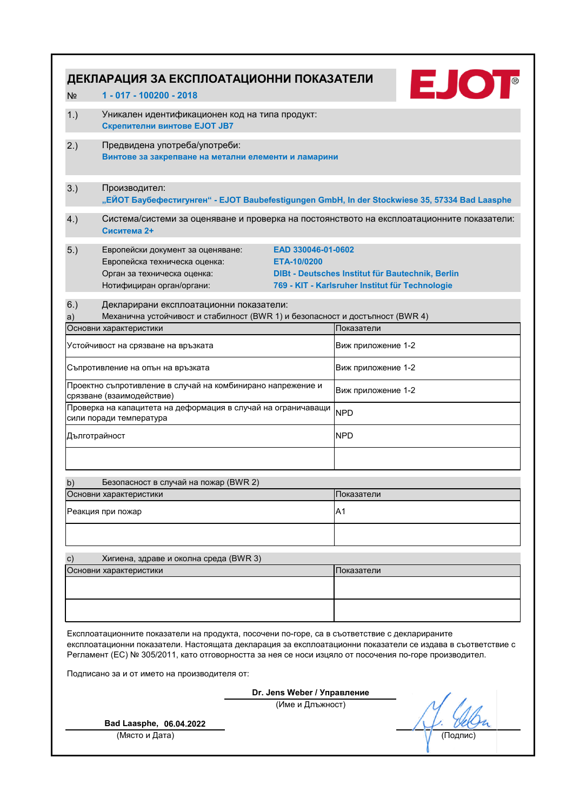| ДЕКЛАРАЦИЯ ЗА ЕКСПЛОАТАЦИОННИ ПОКАЗАТЕЛИ<br>1 - 017 - 100200 - 2018<br>N <sub>2</sub>                                                                                                                                                                                                                                 | <b>EJOT</b>                                                                                         |  |  |  |
|-----------------------------------------------------------------------------------------------------------------------------------------------------------------------------------------------------------------------------------------------------------------------------------------------------------------------|-----------------------------------------------------------------------------------------------------|--|--|--|
| 1.)<br>Уникален идентификационен код на типа продукт:<br>Скрепителни винтове EJOT JB7                                                                                                                                                                                                                                 |                                                                                                     |  |  |  |
| Предвидена употреба/употреби:<br>2.)<br>Винтове за закрепване на метални елементи и ламарини                                                                                                                                                                                                                          |                                                                                                     |  |  |  |
| 3.)<br>Производител:                                                                                                                                                                                                                                                                                                  | "ЕЙОТ Баубефестигунген" - EJOT Baubefestigungen GmbH, In der Stockwiese 35, 57334 Bad Laasphe       |  |  |  |
| 4.)<br>Сиситема 2+                                                                                                                                                                                                                                                                                                    | Система/системи за оценяване и проверка на постоянството на експлоатационните показатели:           |  |  |  |
| 5.)<br>EAD 330046-01-0602<br>Европейски документ за оценяване:<br>Европейска техническа оценка:<br>ETA-10/0200<br>Орган за техническа оценка:<br>Нотифициран орган/органи:                                                                                                                                            | DIBt - Deutsches Institut für Bautechnik, Berlin<br>769 - KIT - Karlsruher Institut für Technologie |  |  |  |
| 6.)<br>Декларирани експлоатационни показатели:<br>Механична устойчивост и стабилност (BWR 1) и безопасност и достъпност (BWR 4)<br>a)                                                                                                                                                                                 |                                                                                                     |  |  |  |
| Основни характеристики                                                                                                                                                                                                                                                                                                | Показатели                                                                                          |  |  |  |
| Устойчивост на срязване на връзката                                                                                                                                                                                                                                                                                   | Виж приложение 1-2                                                                                  |  |  |  |
| Съпротивление на опън на връзката                                                                                                                                                                                                                                                                                     | Виж приложение 1-2                                                                                  |  |  |  |
| Проектно съпротивление в случай на комбинирано напрежение и<br>срязване (взаимодействие)                                                                                                                                                                                                                              | Виж приложение 1-2                                                                                  |  |  |  |
| Проверка на капацитета на деформация в случай на ограничаващи<br>сили поради температура                                                                                                                                                                                                                              | <b>NPD</b>                                                                                          |  |  |  |
| Дълготрайност                                                                                                                                                                                                                                                                                                         | <b>NPD</b>                                                                                          |  |  |  |
| Безопасност в случай на пожар (BWR 2)<br>b)                                                                                                                                                                                                                                                                           |                                                                                                     |  |  |  |
| Основни характеристики                                                                                                                                                                                                                                                                                                | Показатели                                                                                          |  |  |  |
| Реакция при пожар                                                                                                                                                                                                                                                                                                     | A1                                                                                                  |  |  |  |
|                                                                                                                                                                                                                                                                                                                       |                                                                                                     |  |  |  |
| c)<br>Хигиена, здраве и околна среда (BWR 3)                                                                                                                                                                                                                                                                          |                                                                                                     |  |  |  |
| Основни характеристики                                                                                                                                                                                                                                                                                                | Показатели                                                                                          |  |  |  |
|                                                                                                                                                                                                                                                                                                                       |                                                                                                     |  |  |  |
| Експлоатационните показатели на продукта, посочени по-горе, са в съответствие с декларираните<br>експлоатационни показатели. Настоящата декларация за експлоатационни показатели се издава в съответствие с<br>Регламент (ЕС) № 305/2011, като отговорността за нея се носи изцяло от посочения по-горе производител. |                                                                                                     |  |  |  |
| Подписано за и от името на производителя от:                                                                                                                                                                                                                                                                          |                                                                                                     |  |  |  |
| Dr. Jens Weber / Управление<br>(Име и Длъжност)                                                                                                                                                                                                                                                                       |                                                                                                     |  |  |  |
|                                                                                                                                                                                                                                                                                                                       |                                                                                                     |  |  |  |
| Bad Laasphe, 06.04.2022                                                                                                                                                                                                                                                                                               |                                                                                                     |  |  |  |
| (Място и Дата)                                                                                                                                                                                                                                                                                                        | (Подпис                                                                                             |  |  |  |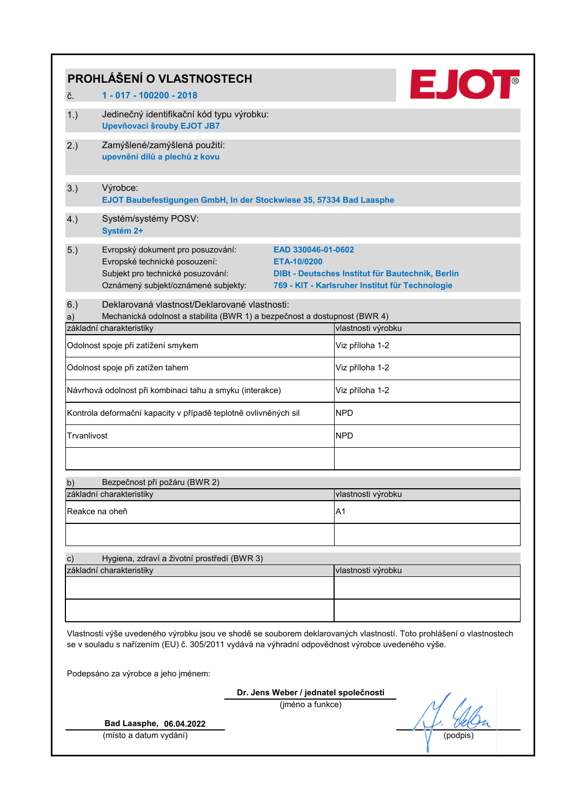|                                                                                                                                                                                                                          | <b>EJOT</b><br>PROHLÁŠENÍ O VLASTNOSTECH                                                                                                                                            |                                                                                                     |  |  |  |
|--------------------------------------------------------------------------------------------------------------------------------------------------------------------------------------------------------------------------|-------------------------------------------------------------------------------------------------------------------------------------------------------------------------------------|-----------------------------------------------------------------------------------------------------|--|--|--|
| č.                                                                                                                                                                                                                       | 1 - 017 - 100200 - 2018                                                                                                                                                             |                                                                                                     |  |  |  |
| 1.)                                                                                                                                                                                                                      | Jedinečný identifikační kód typu výrobku:<br>Upevňovací šrouby EJOT JB7                                                                                                             |                                                                                                     |  |  |  |
| 2.)                                                                                                                                                                                                                      | Zamýšlené/zamýšlená použití:<br>upevnění dílů a plechů z kovu                                                                                                                       |                                                                                                     |  |  |  |
| 3.)                                                                                                                                                                                                                      | Výrobce:<br>EJOT Baubefestigungen GmbH, In der Stockwiese 35, 57334 Bad Laasphe                                                                                                     |                                                                                                     |  |  |  |
| 4.)                                                                                                                                                                                                                      | Systém/systémy POSV:<br>Systém 2+                                                                                                                                                   |                                                                                                     |  |  |  |
| 5.)                                                                                                                                                                                                                      | Evropský dokument pro posuzování:<br>EAD 330046-01-0602<br>Evropské technické posouzení:<br>ETA-10/0200<br>Subjekt pro technické posuzování:<br>Oznámený subjekt/oznámené subjekty: | DIBt - Deutsches Institut für Bautechnik, Berlin<br>769 - KIT - Karlsruher Institut für Technologie |  |  |  |
| 6.)<br>a)                                                                                                                                                                                                                | Deklarovaná vlastnosť/Deklarované vlastnosti:<br>Mechanická odolnost a stabilita (BWR 1) a bezpečnost a dostupnost (BWR 4)                                                          |                                                                                                     |  |  |  |
|                                                                                                                                                                                                                          | základní charakteristiky                                                                                                                                                            | vlastnosti výrobku                                                                                  |  |  |  |
|                                                                                                                                                                                                                          | Odolnost spoje při zatížení smykem                                                                                                                                                  | Viz příloha 1-2                                                                                     |  |  |  |
|                                                                                                                                                                                                                          | Odolnost spoje při zatížen tahem                                                                                                                                                    | Viz příloha 1-2                                                                                     |  |  |  |
|                                                                                                                                                                                                                          | Návrhová odolnost při kombinaci tahu a smyku (interakce)                                                                                                                            | Viz příloha 1-2                                                                                     |  |  |  |
|                                                                                                                                                                                                                          | Kontrola deformační kapacity v případě teplotně ovlivněných sil                                                                                                                     | <b>NPD</b>                                                                                          |  |  |  |
| Trvanlivost                                                                                                                                                                                                              |                                                                                                                                                                                     | <b>NPD</b>                                                                                          |  |  |  |
|                                                                                                                                                                                                                          |                                                                                                                                                                                     |                                                                                                     |  |  |  |
| b)                                                                                                                                                                                                                       | Bezpečnost při požáru (BWR 2)                                                                                                                                                       |                                                                                                     |  |  |  |
|                                                                                                                                                                                                                          | základní charakteristiky                                                                                                                                                            | vlastnosti výrobku                                                                                  |  |  |  |
|                                                                                                                                                                                                                          | Reakce na oheň                                                                                                                                                                      | A <sub>1</sub>                                                                                      |  |  |  |
|                                                                                                                                                                                                                          |                                                                                                                                                                                     |                                                                                                     |  |  |  |
| $\mathbf{c})$                                                                                                                                                                                                            | Hygiena, zdraví a životní prostředí (BWR 3)                                                                                                                                         |                                                                                                     |  |  |  |
|                                                                                                                                                                                                                          | základní charakteristiky                                                                                                                                                            | vlastnosti výrobku                                                                                  |  |  |  |
|                                                                                                                                                                                                                          |                                                                                                                                                                                     |                                                                                                     |  |  |  |
|                                                                                                                                                                                                                          |                                                                                                                                                                                     |                                                                                                     |  |  |  |
| Vlastnosti výše uvedeného výrobku jsou ve shodě se souborem deklarovaných vlastností. Toto prohlášení o vlastnostech<br>se v souladu s nařízením (EU) č. 305/2011 vydává na výhradní odpovědnost výrobce uvedeného výše. |                                                                                                                                                                                     |                                                                                                     |  |  |  |
| Podepsáno za výrobce a jeho jménem:                                                                                                                                                                                      |                                                                                                                                                                                     |                                                                                                     |  |  |  |
|                                                                                                                                                                                                                          | Dr. Jens Weber / jednatel společnosti                                                                                                                                               |                                                                                                     |  |  |  |
|                                                                                                                                                                                                                          | (jméno a funkce)                                                                                                                                                                    |                                                                                                     |  |  |  |
|                                                                                                                                                                                                                          | Bad Laasphe, 06.04.2022                                                                                                                                                             |                                                                                                     |  |  |  |
|                                                                                                                                                                                                                          | (místo a datum vydání)                                                                                                                                                              | (podpis                                                                                             |  |  |  |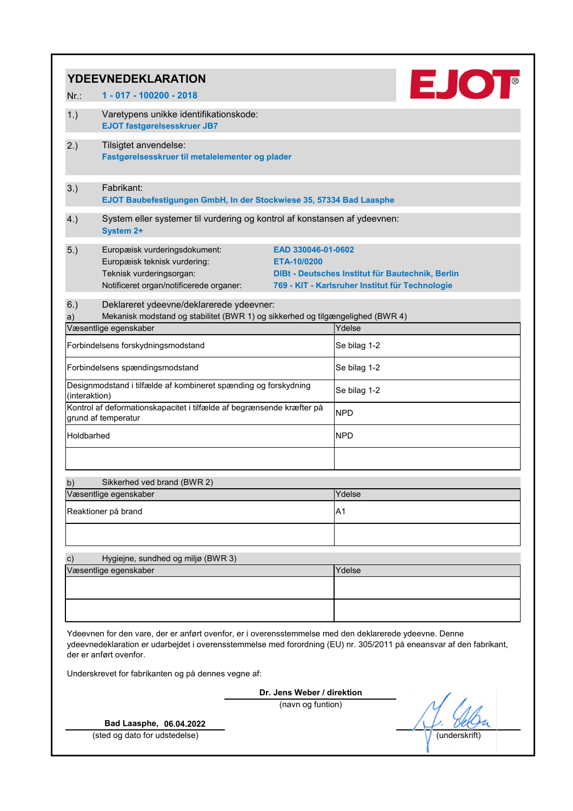|                                                                                                                                                                                                                                                         | <b>YDEEVNEDEKLARATION</b>                                                                                                            |                                                 |                                                                                                     |  |
|---------------------------------------------------------------------------------------------------------------------------------------------------------------------------------------------------------------------------------------------------------|--------------------------------------------------------------------------------------------------------------------------------------|-------------------------------------------------|-----------------------------------------------------------------------------------------------------|--|
| Nr:                                                                                                                                                                                                                                                     | 1 - 017 - 100200 - 2018                                                                                                              |                                                 | <b>EJOT</b>                                                                                         |  |
| 1.)                                                                                                                                                                                                                                                     | Varetypens unikke identifikationskode:<br><b>EJOT fastgørelsesskruer JB7</b>                                                         |                                                 |                                                                                                     |  |
| 2.)                                                                                                                                                                                                                                                     | Tilsigtet anvendelse:<br>Fastgørelsesskruer til metalelementer og plader                                                             |                                                 |                                                                                                     |  |
| 3.)                                                                                                                                                                                                                                                     | Fabrikant:<br>EJOT Baubefestigungen GmbH, In der Stockwiese 35, 57334 Bad Laasphe                                                    |                                                 |                                                                                                     |  |
| 4.)                                                                                                                                                                                                                                                     | System eller systemer til vurdering og kontrol af konstansen af ydeevnen:<br><b>System 2+</b>                                        |                                                 |                                                                                                     |  |
| 5.)                                                                                                                                                                                                                                                     | Europæisk vurderingsdokument:<br>Europæisk teknisk vurdering:<br>Teknisk vurderingsorgan:<br>Notificeret organ/notificerede organer: | EAD 330046-01-0602<br>ETA-10/0200               | DIBt - Deutsches Institut für Bautechnik, Berlin<br>769 - KIT - Karlsruher Institut für Technologie |  |
| 6.)                                                                                                                                                                                                                                                     | Deklareret ydeevne/deklarerede ydeevner:                                                                                             |                                                 |                                                                                                     |  |
| a)                                                                                                                                                                                                                                                      | Mekanisk modstand og stabilitet (BWR 1) og sikkerhed og tilgængelighed (BWR 4)<br>Væsentlige egenskaber                              |                                                 | Ydelse                                                                                              |  |
|                                                                                                                                                                                                                                                         | Forbindelsens forskydningsmodstand                                                                                                   |                                                 | Se bilag 1-2                                                                                        |  |
|                                                                                                                                                                                                                                                         | Forbindelsens spændingsmodstand                                                                                                      |                                                 | Se bilag 1-2                                                                                        |  |
| Designmodstand i tilfælde af kombineret spænding og forskydning<br>(interaktion)                                                                                                                                                                        |                                                                                                                                      |                                                 | Se bilag 1-2                                                                                        |  |
|                                                                                                                                                                                                                                                         | Kontrol af deformationskapacitet i tilfælde af begrænsende kræfter på<br>grund af temperatur                                         |                                                 | <b>NPD</b>                                                                                          |  |
| Holdbarhed                                                                                                                                                                                                                                              |                                                                                                                                      |                                                 | <b>NPD</b>                                                                                          |  |
|                                                                                                                                                                                                                                                         |                                                                                                                                      |                                                 |                                                                                                     |  |
| b)                                                                                                                                                                                                                                                      | Sikkerhed ved brand (BWR 2)                                                                                                          |                                                 |                                                                                                     |  |
|                                                                                                                                                                                                                                                         | Væsentlige egenskaber                                                                                                                |                                                 | Ydelse                                                                                              |  |
|                                                                                                                                                                                                                                                         | Reaktioner på brand                                                                                                                  |                                                 | A <sub>1</sub>                                                                                      |  |
|                                                                                                                                                                                                                                                         |                                                                                                                                      |                                                 |                                                                                                     |  |
| $\mathsf{c})$                                                                                                                                                                                                                                           | Hygiejne, sundhed og miljø (BWR 3)<br>Væsentlige egenskaber                                                                          |                                                 | Ydelse                                                                                              |  |
|                                                                                                                                                                                                                                                         |                                                                                                                                      |                                                 |                                                                                                     |  |
| Ydeevnen for den vare, der er anført ovenfor, er i overensstemmelse med den deklarerede ydeevne. Denne<br>ydeevnedeklaration er udarbejdet i overensstemmelse med forordning (EU) nr. 305/2011 på eneansvar af den fabrikant,<br>der er anført ovenfor. |                                                                                                                                      |                                                 |                                                                                                     |  |
|                                                                                                                                                                                                                                                         | Underskrevet for fabrikanten og på dennes vegne af:                                                                                  |                                                 |                                                                                                     |  |
|                                                                                                                                                                                                                                                         |                                                                                                                                      | Dr. Jens Weber / direktion<br>(navn og funtion) |                                                                                                     |  |
|                                                                                                                                                                                                                                                         |                                                                                                                                      |                                                 |                                                                                                     |  |
|                                                                                                                                                                                                                                                         | Bad Laasphe, 06.04.2022<br>(sted og dato for udstedelse)                                                                             |                                                 | (underskrift                                                                                        |  |
|                                                                                                                                                                                                                                                         |                                                                                                                                      |                                                 |                                                                                                     |  |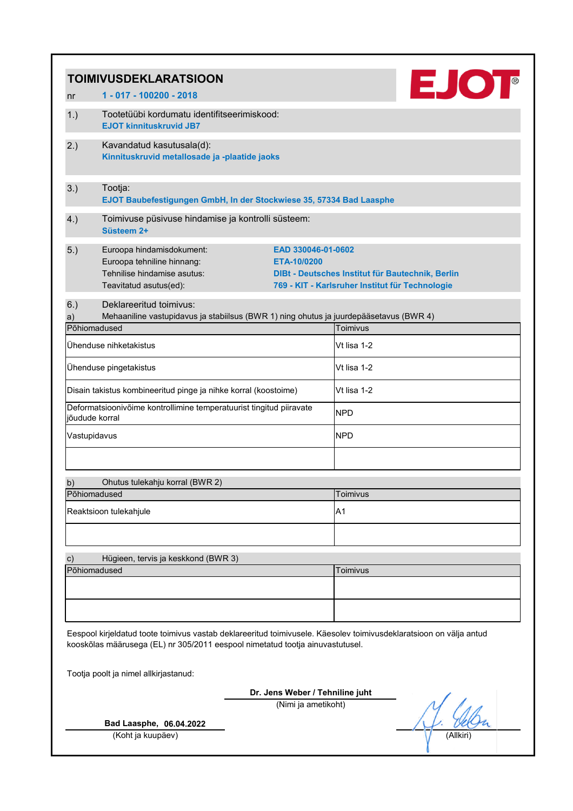|                                                                                                                                                                                                     | <b>TOIMIVUSDEKLARATSIOON</b>                                                                                                      |                                                                                                                                          |  |  |
|-----------------------------------------------------------------------------------------------------------------------------------------------------------------------------------------------------|-----------------------------------------------------------------------------------------------------------------------------------|------------------------------------------------------------------------------------------------------------------------------------------|--|--|
| nr                                                                                                                                                                                                  | 1 - 017 - 100200 - 2018                                                                                                           | <b>EJOT</b>                                                                                                                              |  |  |
| 1.)                                                                                                                                                                                                 | Tootetüübi kordumatu identifitseerimiskood:<br><b>EJOT kinnituskruvid JB7</b>                                                     |                                                                                                                                          |  |  |
| 2.)                                                                                                                                                                                                 | Kavandatud kasutusala(d):<br>Kinnituskruvid metallosade ja -plaatide jaoks                                                        |                                                                                                                                          |  |  |
| 3.)                                                                                                                                                                                                 | Tootja:<br>EJOT Baubefestigungen GmbH, In der Stockwiese 35, 57334 Bad Laasphe                                                    |                                                                                                                                          |  |  |
| 4.)                                                                                                                                                                                                 | Toimivuse püsivuse hindamise ja kontrolli süsteem:<br>Süsteem 2+                                                                  |                                                                                                                                          |  |  |
| 5.)                                                                                                                                                                                                 | Euroopa hindamisdokument:<br>Euroopa tehniline hinnang:<br>Tehnilise hindamise asutus:<br>Teavitatud asutus(ed):                  | EAD 330046-01-0602<br>ETA-10/0200<br>DIBt - Deutsches Institut für Bautechnik, Berlin<br>769 - KIT - Karlsruher Institut für Technologie |  |  |
| 6.)<br>a)                                                                                                                                                                                           | Deklareeritud toimivus:<br>Mehaaniline vastupidavus ja stabiilsus (BWR 1) ning ohutus ja juurdepääsetavus (BWR 4)<br>Põhiomadused | Toimivus                                                                                                                                 |  |  |
|                                                                                                                                                                                                     | Ühenduse nihketakistus                                                                                                            | Vt lisa 1-2                                                                                                                              |  |  |
|                                                                                                                                                                                                     | Ühenduse pingetakistus                                                                                                            | Vt lisa 1-2                                                                                                                              |  |  |
|                                                                                                                                                                                                     | Disain takistus kombineeritud pinge ja nihke korral (koostoime)                                                                   | Vt lisa 1-2                                                                                                                              |  |  |
|                                                                                                                                                                                                     | Deformatsioonivõime kontrollimine temperatuurist tingitud piiravate<br>jõudude korral                                             | <b>NPD</b>                                                                                                                               |  |  |
|                                                                                                                                                                                                     | Vastupidavus                                                                                                                      | <b>NPD</b>                                                                                                                               |  |  |
|                                                                                                                                                                                                     |                                                                                                                                   |                                                                                                                                          |  |  |
| b)                                                                                                                                                                                                  | Ohutus tulekahju korral (BWR 2)<br>Põhiomadused                                                                                   | Toimivus                                                                                                                                 |  |  |
|                                                                                                                                                                                                     | Reaktsioon tulekahjule                                                                                                            | A1                                                                                                                                       |  |  |
|                                                                                                                                                                                                     |                                                                                                                                   |                                                                                                                                          |  |  |
| $\mathbf{c})$                                                                                                                                                                                       | Hügieen, tervis ja keskkond (BWR 3)                                                                                               |                                                                                                                                          |  |  |
|                                                                                                                                                                                                     | Põhiomadused                                                                                                                      | Toimivus                                                                                                                                 |  |  |
|                                                                                                                                                                                                     |                                                                                                                                   |                                                                                                                                          |  |  |
|                                                                                                                                                                                                     |                                                                                                                                   |                                                                                                                                          |  |  |
| Eespool kirjeldatud toote toimivus vastab deklareeritud toimivusele. Käesolev toimivusdeklaratsioon on välja antud<br>kooskõlas määrusega (EL) nr 305/2011 eespool nimetatud tootja ainuvastutusel. |                                                                                                                                   |                                                                                                                                          |  |  |
| Tootja poolt ja nimel allkirjastanud:                                                                                                                                                               |                                                                                                                                   |                                                                                                                                          |  |  |
|                                                                                                                                                                                                     |                                                                                                                                   | Dr. Jens Weber / Tehniline juht                                                                                                          |  |  |
| (Nimi ja ametikoht)                                                                                                                                                                                 |                                                                                                                                   |                                                                                                                                          |  |  |
|                                                                                                                                                                                                     | Bad Laasphe, 06.04.2022                                                                                                           |                                                                                                                                          |  |  |
|                                                                                                                                                                                                     | (Koht ja kuupäev)                                                                                                                 | (Allkiri`                                                                                                                                |  |  |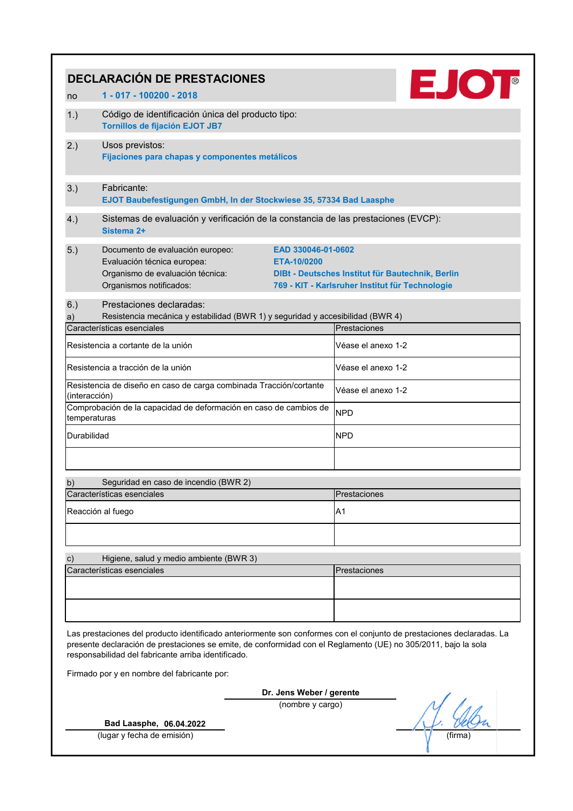|                                                                                                                                                                                                                                                                                                | <b>DECLARACIÓN DE PRESTACIONES</b>                                                                                                                                  |                                                                                                     |  |  |
|------------------------------------------------------------------------------------------------------------------------------------------------------------------------------------------------------------------------------------------------------------------------------------------------|---------------------------------------------------------------------------------------------------------------------------------------------------------------------|-----------------------------------------------------------------------------------------------------|--|--|
| no                                                                                                                                                                                                                                                                                             | 1 - 017 - 100200 - 2018                                                                                                                                             | <b>EJOT</b>                                                                                         |  |  |
| 1.)                                                                                                                                                                                                                                                                                            | Código de identificación única del producto tipo:<br><b>Tornillos de fijación EJOT JB7</b>                                                                          |                                                                                                     |  |  |
| 2.)                                                                                                                                                                                                                                                                                            | Usos previstos:<br>Fijaciones para chapas y componentes metálicos                                                                                                   |                                                                                                     |  |  |
| 3.)                                                                                                                                                                                                                                                                                            | Fabricante:<br>EJOT Baubefestigungen GmbH, In der Stockwiese 35, 57334 Bad Laasphe                                                                                  |                                                                                                     |  |  |
| 4.)                                                                                                                                                                                                                                                                                            | Sistemas de evaluación y verificación de la constancia de las prestaciones (EVCP):<br>Sistema 2+                                                                    |                                                                                                     |  |  |
| 5.)                                                                                                                                                                                                                                                                                            | Documento de evaluación europeo:<br>EAD 330046-01-0602<br>Evaluación técnica europea:<br>ETA-10/0200<br>Organismo de evaluación técnica:<br>Organismos notificados: | DIBt - Deutsches Institut für Bautechnik, Berlin<br>769 - KIT - Karlsruher Institut für Technologie |  |  |
| 6.)                                                                                                                                                                                                                                                                                            | Prestaciones declaradas:                                                                                                                                            |                                                                                                     |  |  |
| a)                                                                                                                                                                                                                                                                                             | Resistencia mecánica y estabilidad (BWR 1) y seguridad y accesibilidad (BWR 4)<br>Características esenciales                                                        | Prestaciones                                                                                        |  |  |
|                                                                                                                                                                                                                                                                                                | Resistencia a cortante de la unión                                                                                                                                  | Véase el anexo 1-2                                                                                  |  |  |
|                                                                                                                                                                                                                                                                                                | Resistencia a tracción de la unión                                                                                                                                  | Véase el anexo 1-2                                                                                  |  |  |
| Resistencia de diseño en caso de carga combinada Tracción/cortante<br>(interacción)<br>Comprobación de la capacidad de deformación en caso de cambios de<br>temperaturas<br>Durabilidad                                                                                                        |                                                                                                                                                                     | Véase el anexo 1-2<br><b>NPD</b><br><b>NPD</b>                                                      |  |  |
| b)                                                                                                                                                                                                                                                                                             | Seguridad en caso de incendio (BWR 2)                                                                                                                               |                                                                                                     |  |  |
|                                                                                                                                                                                                                                                                                                | Características esenciales                                                                                                                                          | Prestaciones                                                                                        |  |  |
|                                                                                                                                                                                                                                                                                                | Reacción al fuego                                                                                                                                                   | A1                                                                                                  |  |  |
| c)                                                                                                                                                                                                                                                                                             | Higiene, salud y medio ambiente (BWR 3)                                                                                                                             |                                                                                                     |  |  |
|                                                                                                                                                                                                                                                                                                | Características esenciales                                                                                                                                          | Prestaciones                                                                                        |  |  |
|                                                                                                                                                                                                                                                                                                |                                                                                                                                                                     |                                                                                                     |  |  |
| Las prestaciones del producto identificado anteriormente son conformes con el conjunto de prestaciones declaradas. La<br>presente declaración de prestaciones se emite, de conformidad con el Reglamento (UE) no 305/2011, bajo la sola<br>responsabilidad del fabricante arriba identificado. |                                                                                                                                                                     |                                                                                                     |  |  |
| Firmado por y en nombre del fabricante por:                                                                                                                                                                                                                                                    |                                                                                                                                                                     |                                                                                                     |  |  |
|                                                                                                                                                                                                                                                                                                | Dr. Jens Weber / gerente                                                                                                                                            |                                                                                                     |  |  |
| (nombre y cargo)                                                                                                                                                                                                                                                                               |                                                                                                                                                                     |                                                                                                     |  |  |
|                                                                                                                                                                                                                                                                                                | Bad Laasphe, 06.04.2022                                                                                                                                             |                                                                                                     |  |  |
|                                                                                                                                                                                                                                                                                                | (lugar y fecha de emisión)                                                                                                                                          | (tirma                                                                                              |  |  |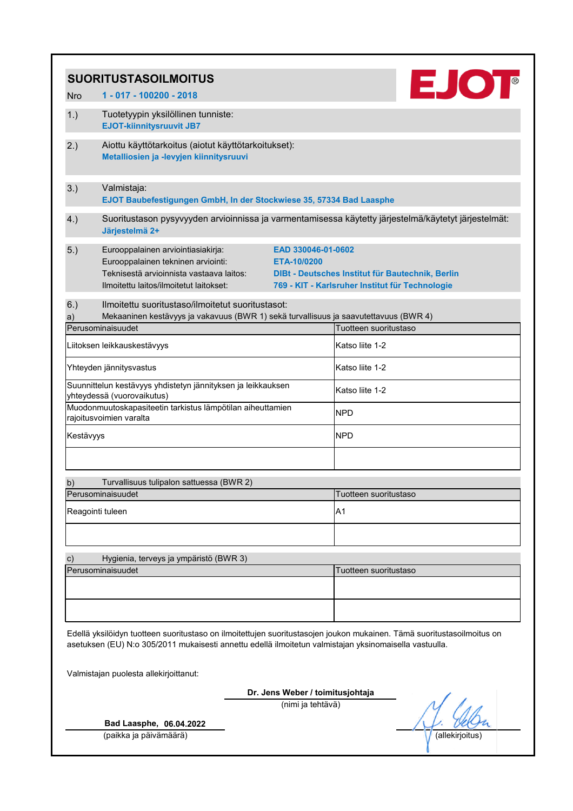|              | <b>SUORITUSTASOILMOITUS</b>                                                                                                                                     |                                                       | <b>EJOT</b>                                                                                                            |  |
|--------------|-----------------------------------------------------------------------------------------------------------------------------------------------------------------|-------------------------------------------------------|------------------------------------------------------------------------------------------------------------------------|--|
| <b>Nro</b>   | 1 - 017 - 100200 - 2018                                                                                                                                         |                                                       |                                                                                                                        |  |
| 1.)          | Tuotetyypin yksilöllinen tunniste:<br><b>EJOT-kiinnitysruuvit JB7</b>                                                                                           |                                                       |                                                                                                                        |  |
| 2.)          | Aiottu käyttötarkoitus (aiotut käyttötarkoitukset):<br>Metalliosien ja -levyjen kiinnitysruuvi                                                                  |                                                       |                                                                                                                        |  |
| 3.)          | Valmistaja:<br>EJOT Baubefestigungen GmbH, In der Stockwiese 35, 57334 Bad Laasphe                                                                              |                                                       |                                                                                                                        |  |
| 4.)          | Järjestelmä 2+                                                                                                                                                  |                                                       | Suoritustason pysyvyyden arvioinnissa ja varmentamisessa käytetty järjestelmä/käytetyt järjestelmät:                   |  |
| 5.)          | Eurooppalainen arviointiasiakirja:<br>Eurooppalainen tekninen arviointi:<br>Teknisestä arvioinnista vastaava laitos:<br>Ilmoitettu laitos/ilmoitetut laitokset: | EAD 330046-01-0602<br>ETA-10/0200                     | DIBt - Deutsches Institut für Bautechnik, Berlin<br>769 - KIT - Karlsruher Institut für Technologie                    |  |
| 6.)          | Ilmoitettu suoritustaso/ilmoitetut suoritustasot:                                                                                                               |                                                       |                                                                                                                        |  |
| a)           | Mekaaninen kestävyys ja vakavuus (BWR 1) sekä turvallisuus ja saavutettavuus (BWR 4)<br>Perusominaisuudet                                                       |                                                       | Tuotteen suoritustaso                                                                                                  |  |
|              | Liitoksen leikkauskestävyys                                                                                                                                     |                                                       | Katso liite 1-2                                                                                                        |  |
|              | Yhteyden jännitysvastus                                                                                                                                         |                                                       | Katso liite 1-2                                                                                                        |  |
|              | Suunnittelun kestävyys yhdistetyn jännityksen ja leikkauksen                                                                                                    |                                                       | Katso liite 1-2                                                                                                        |  |
|              | yhteydessä (vuorovaikutus)<br>Muodonmuutoskapasiteetin tarkistus lämpötilan aiheuttamien<br>rajoitusvoimien varalta                                             |                                                       | <b>NPD</b>                                                                                                             |  |
| Kestävyys    |                                                                                                                                                                 |                                                       | <b>NPD</b>                                                                                                             |  |
|              |                                                                                                                                                                 |                                                       |                                                                                                                        |  |
| b)           | Turvallisuus tulipalon sattuessa (BWR 2)<br>Perusominaisuudet                                                                                                   |                                                       | Tuotteen suoritustaso                                                                                                  |  |
|              |                                                                                                                                                                 |                                                       |                                                                                                                        |  |
|              | Reagointi tuleen                                                                                                                                                |                                                       | A <sub>1</sub>                                                                                                         |  |
| $\mathsf{C}$ | Hygienia, terveys ja ympäristö (BWR 3)                                                                                                                          |                                                       |                                                                                                                        |  |
|              | Perusominaisuudet                                                                                                                                               |                                                       | Tuotteen suoritustaso                                                                                                  |  |
|              |                                                                                                                                                                 |                                                       |                                                                                                                        |  |
|              | asetuksen (EU) N:o 305/2011 mukaisesti annettu edellä ilmoitetun valmistajan yksinomaisella vastuulla.<br>Valmistajan puolesta allekirjoittanut:                |                                                       | Edellä yksilöidyn tuotteen suoritustaso on ilmoitettujen suoritustasojen joukon mukainen. Tämä suoritustasoilmoitus on |  |
|              |                                                                                                                                                                 |                                                       |                                                                                                                        |  |
|              |                                                                                                                                                                 | Dr. Jens Weber / toimitusjohtaja<br>(nimi ja tehtävä) |                                                                                                                        |  |
|              | Bad Laasphe, 06.04.2022                                                                                                                                         |                                                       |                                                                                                                        |  |
|              | (paikka ja päivämäärä)                                                                                                                                          |                                                       | (allekirjoitus)                                                                                                        |  |
|              |                                                                                                                                                                 |                                                       |                                                                                                                        |  |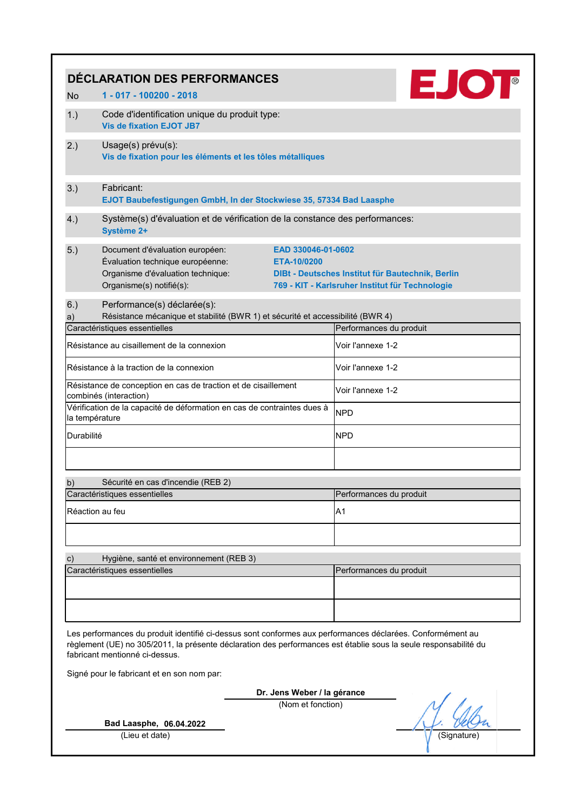| <b>EJOT</b><br>DÉCLARATION DES PERFORMANCES                                                                                                                                                                                                                      |                                                                                                                                                                           |                                                                                                     |  |  |
|------------------------------------------------------------------------------------------------------------------------------------------------------------------------------------------------------------------------------------------------------------------|---------------------------------------------------------------------------------------------------------------------------------------------------------------------------|-----------------------------------------------------------------------------------------------------|--|--|
| <b>No</b>                                                                                                                                                                                                                                                        | 1 - 017 - 100200 - 2018                                                                                                                                                   |                                                                                                     |  |  |
| 1.)                                                                                                                                                                                                                                                              | Code d'identification unique du produit type:<br><b>Vis de fixation EJOT JB7</b>                                                                                          |                                                                                                     |  |  |
| 2.)                                                                                                                                                                                                                                                              | Usage(s) prévu(s):<br>Vis de fixation pour les éléments et les tôles métalliques                                                                                          |                                                                                                     |  |  |
| 3.)                                                                                                                                                                                                                                                              | Fabricant:<br>EJOT Baubefestigungen GmbH, In der Stockwiese 35, 57334 Bad Laasphe                                                                                         |                                                                                                     |  |  |
| 4.)                                                                                                                                                                                                                                                              | Système(s) d'évaluation et de vérification de la constance des performances:<br>Système 2+                                                                                |                                                                                                     |  |  |
| 5.)                                                                                                                                                                                                                                                              | Document d'évaluation européen:<br>EAD 330046-01-0602<br>Évaluation technique européenne:<br>ETA-10/0200<br>Organisme d'évaluation technique:<br>Organisme(s) notifié(s): | DIBt - Deutsches Institut für Bautechnik, Berlin<br>769 - KIT - Karlsruher Institut für Technologie |  |  |
| 6.)                                                                                                                                                                                                                                                              | Performance(s) déclarée(s):                                                                                                                                               |                                                                                                     |  |  |
| a)                                                                                                                                                                                                                                                               | Résistance mécanique et stabilité (BWR 1) et sécurité et accessibilité (BWR 4)<br>Caractéristiques essentielles                                                           | Performances du produit                                                                             |  |  |
|                                                                                                                                                                                                                                                                  | Résistance au cisaillement de la connexion                                                                                                                                | Voir l'annexe 1-2                                                                                   |  |  |
|                                                                                                                                                                                                                                                                  | Résistance à la traction de la connexion                                                                                                                                  | Voir l'annexe 1-2                                                                                   |  |  |
|                                                                                                                                                                                                                                                                  | Résistance de conception en cas de traction et de cisaillement<br>combinés (interaction)                                                                                  | Voir l'annexe 1-2                                                                                   |  |  |
| la température                                                                                                                                                                                                                                                   | Vérification de la capacité de déformation en cas de contraintes dues à                                                                                                   | <b>NPD</b>                                                                                          |  |  |
| Durabilité                                                                                                                                                                                                                                                       |                                                                                                                                                                           | <b>NPD</b>                                                                                          |  |  |
|                                                                                                                                                                                                                                                                  |                                                                                                                                                                           |                                                                                                     |  |  |
| b)                                                                                                                                                                                                                                                               | Sécurité en cas d'incendie (REB 2)                                                                                                                                        |                                                                                                     |  |  |
|                                                                                                                                                                                                                                                                  | Caractéristiques essentielles                                                                                                                                             | Performances du produit                                                                             |  |  |
| Réaction au feu                                                                                                                                                                                                                                                  |                                                                                                                                                                           | A1                                                                                                  |  |  |
|                                                                                                                                                                                                                                                                  |                                                                                                                                                                           |                                                                                                     |  |  |
| c)                                                                                                                                                                                                                                                               | Hygiène, santé et environnement (REB 3)                                                                                                                                   |                                                                                                     |  |  |
|                                                                                                                                                                                                                                                                  | Caractéristiques essentielles                                                                                                                                             | Performances du produit                                                                             |  |  |
|                                                                                                                                                                                                                                                                  |                                                                                                                                                                           |                                                                                                     |  |  |
|                                                                                                                                                                                                                                                                  |                                                                                                                                                                           |                                                                                                     |  |  |
| Les performances du produit identifié ci-dessus sont conformes aux performances déclarées. Conformément au<br>règlement (UE) no 305/2011, la présente déclaration des performances est établie sous la seule responsabilité du<br>fabricant mentionné ci-dessus. |                                                                                                                                                                           |                                                                                                     |  |  |
| Signé pour le fabricant et en son nom par:                                                                                                                                                                                                                       |                                                                                                                                                                           |                                                                                                     |  |  |
|                                                                                                                                                                                                                                                                  | Dr. Jens Weber / la gérance                                                                                                                                               |                                                                                                     |  |  |
|                                                                                                                                                                                                                                                                  | (Nom et fonction)                                                                                                                                                         |                                                                                                     |  |  |
|                                                                                                                                                                                                                                                                  | Bad Laasphe, 06.04.2022<br>(Lieu et date)                                                                                                                                 | (Signature)                                                                                         |  |  |
|                                                                                                                                                                                                                                                                  |                                                                                                                                                                           |                                                                                                     |  |  |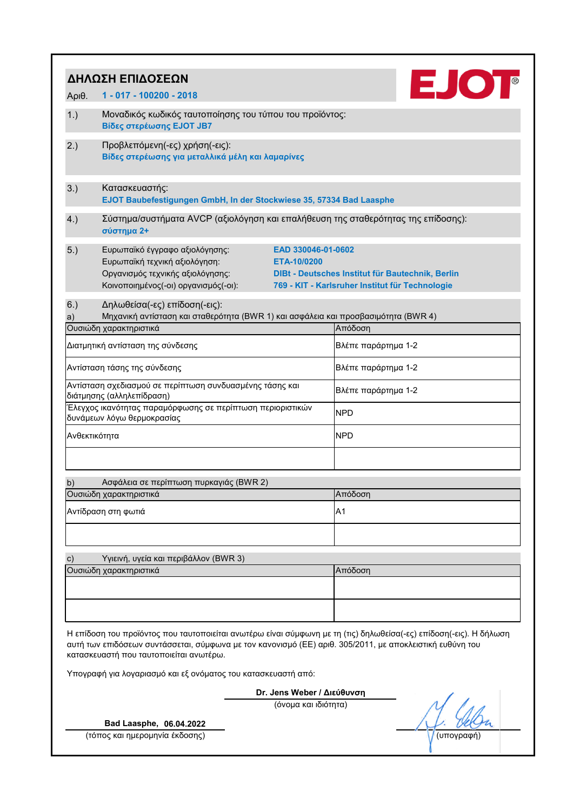|                                                                                       | ΔΗΛΩΣΗ ΕΠΙΔΟΣΕΩΝ                                                                                                                                    |                                   |                                                                                                                    |
|---------------------------------------------------------------------------------------|-----------------------------------------------------------------------------------------------------------------------------------------------------|-----------------------------------|--------------------------------------------------------------------------------------------------------------------|
| $ApI0$ .                                                                              | 1 - 017 - 100200 - 2018                                                                                                                             |                                   | EJOT                                                                                                               |
| 1.)                                                                                   | Μοναδικός κωδικός ταυτοποίησης του τύπου του προϊόντος:<br>Βίδες στερέωσης EJOT JB7                                                                 |                                   |                                                                                                                    |
| 2.)                                                                                   | Προβλεπόμενη(-ες) χρήση(-εις):<br>Βίδες στερέωσης για μεταλλικά μέλη και λαμαρίνες                                                                  |                                   |                                                                                                                    |
| 3.)                                                                                   | Κατασκευαστής:<br>EJOT Baubefestigungen GmbH, In der Stockwiese 35, 57334 Bad Laasphe                                                               |                                   |                                                                                                                    |
| 4.)                                                                                   | Σύστημα/συστήματα AVCP (αξιολόγηση και επαλήθευση της σταθερότητας της επίδοσης):<br>σύστημα 2+                                                     |                                   |                                                                                                                    |
| 5.)                                                                                   | Ευρωπαϊκό έγγραφο αξιολόγησης:<br>Ευρωπαϊκή τεχνική αξιολόγηση:<br>Οργανισμός τεχνικής αξιολόγησης:<br>Κοινοποιημένος(-οι) οργανισμός(-οι):         | EAD 330046-01-0602<br>ETA-10/0200 | DIBt - Deutsches Institut für Bautechnik, Berlin<br>769 - KIT - Karlsruher Institut für Technologie                |
| 6.)<br>a)                                                                             | Δηλωθείσα(-ες) επίδοση(-εις):<br>Μηχανική αντίσταση και σταθερότητα (BWR 1) και ασφάλεια και προσβασιμότητα (BWR 4)<br>Ουσιώδη χαρακτηριστικά       |                                   | Απόδοση                                                                                                            |
|                                                                                       | Διατμητική αντίσταση της σύνδεσης                                                                                                                   |                                   | Βλέπε παράρτημα 1-2                                                                                                |
| Αντίσταση τάσης της σύνδεσης                                                          |                                                                                                                                                     |                                   | Βλέπε παράρτημα 1-2                                                                                                |
| Αντίσταση σχεδιασμού σε περίπτωση συνδυασμένης τάσης και<br>διάτμησης (αλληλεπίδραση) |                                                                                                                                                     |                                   | Βλέπε παράρτημα 1-2                                                                                                |
|                                                                                       | Έλεγχος ικανότητας παραμόρφωσης σε περίπτωση περιοριστικών<br>δυνάμεων λόγω θερμοκρασίας                                                            |                                   | <b>NPD</b>                                                                                                         |
| Ανθεκτικότητα                                                                         |                                                                                                                                                     |                                   | <b>NPD</b>                                                                                                         |
|                                                                                       |                                                                                                                                                     |                                   |                                                                                                                    |
| b)                                                                                    | Ασφάλεια σε περίπτωση πυρκαγιάς (BWR 2)                                                                                                             |                                   |                                                                                                                    |
|                                                                                       | Ουσιώδη χαρακτηριστικά                                                                                                                              |                                   | Απόδοση                                                                                                            |
|                                                                                       | Αντίδραση στη φωτιά                                                                                                                                 |                                   | A <sub>1</sub>                                                                                                     |
| $\mathbf{c})$                                                                         | Υγιεινή, υγεία και περιβάλλον (BWR 3)                                                                                                               |                                   |                                                                                                                    |
|                                                                                       | Ουσιώδη χαρακτηριστικά                                                                                                                              |                                   | Απόδοση                                                                                                            |
|                                                                                       | αυτή των επιδόσεων συντάσσεται, σύμφωνα με τον κανονισμό (ΕΕ) αριθ. 305/2011, με αποκλειστική ευθύνη του<br>κατασκευαστή που ταυτοποιείται ανωτέρω. |                                   | Η επίδοση του προϊόντος που ταυτοποιείται ανωτέρω είναι σύμφωνη με τη (τις) δηλωθείσα(-ες) επίδοση(-εις). Η δήλωση |
|                                                                                       | Υπογραφή για λογαριασμό και εξ ονόματος του κατασκευαστή από:                                                                                       |                                   |                                                                                                                    |
|                                                                                       |                                                                                                                                                     | Dr. Jens Weber / Διεύθυνση        |                                                                                                                    |
|                                                                                       |                                                                                                                                                     | (όνομα και ιδιότητα)              |                                                                                                                    |
|                                                                                       | Bad Laasphe, 06.04.2022                                                                                                                             |                                   |                                                                                                                    |

(τόπος και ημερομηνία έκδοσης) (υπογραφή)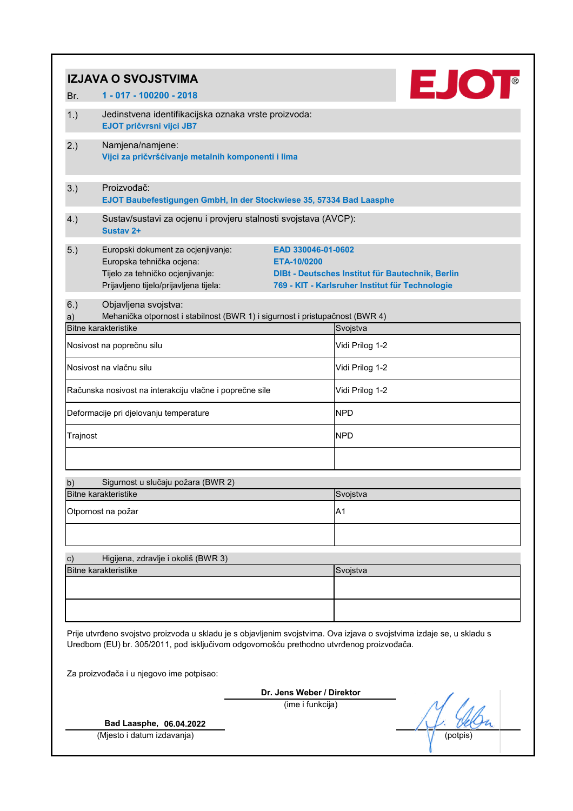|                                                                                                                                                                                                                   | <b>IZJAVA O SVOJSTVIMA</b>                                                                                                                                   |                                                                                                                           |  |  |  |
|-------------------------------------------------------------------------------------------------------------------------------------------------------------------------------------------------------------------|--------------------------------------------------------------------------------------------------------------------------------------------------------------|---------------------------------------------------------------------------------------------------------------------------|--|--|--|
| Br.                                                                                                                                                                                                               | 1 - 017 - 100200 - 2018                                                                                                                                      | <b>EJOT</b>                                                                                                               |  |  |  |
| 1.)                                                                                                                                                                                                               | Jedinstvena identifikacijska oznaka vrste proizvoda:<br>EJOT pričvrsni vijci JB7                                                                             |                                                                                                                           |  |  |  |
| 2.)                                                                                                                                                                                                               | Namjena/namjene:<br>Vijci za pričvršćivanje metalnih komponenti i lima                                                                                       |                                                                                                                           |  |  |  |
| 3.)                                                                                                                                                                                                               | Proizvođač:<br>EJOT Baubefestigungen GmbH, In der Stockwiese 35, 57334 Bad Laasphe                                                                           |                                                                                                                           |  |  |  |
| 4.)                                                                                                                                                                                                               | Sustav/sustavi za ocjenu i provjeru stalnosti svojstava (AVCP):<br>Sustav <sub>2+</sub>                                                                      |                                                                                                                           |  |  |  |
| 5.)                                                                                                                                                                                                               | Europski dokument za ocjenjivanje:<br>Europska tehnička ocjena:<br>ETA-10/0200<br>Tijelo za tehničko ocjenjivanje:<br>Prijavljeno tijelo/prijavljena tijela: | EAD 330046-01-0602<br>DIBt - Deutsches Institut für Bautechnik, Berlin<br>769 - KIT - Karlsruher Institut für Technologie |  |  |  |
| 6.)<br>a)                                                                                                                                                                                                         | Objavljena svojstva:<br>Mehanička otpornost i stabilnost (BWR 1) i sigurnost i pristupačnost (BWR 4)<br><b>Bitne karakteristike</b>                          | Svojstva                                                                                                                  |  |  |  |
|                                                                                                                                                                                                                   | Nosivost na poprečnu silu                                                                                                                                    | Vidi Prilog 1-2                                                                                                           |  |  |  |
|                                                                                                                                                                                                                   | Nosivost na vlačnu silu                                                                                                                                      | Vidi Prilog 1-2                                                                                                           |  |  |  |
|                                                                                                                                                                                                                   | Računska nosivost na interakciju vlačne i poprečne sile                                                                                                      | Vidi Prilog 1-2                                                                                                           |  |  |  |
|                                                                                                                                                                                                                   | Deformacije pri djelovanju temperature                                                                                                                       | <b>NPD</b>                                                                                                                |  |  |  |
| Trajnost                                                                                                                                                                                                          |                                                                                                                                                              | <b>NPD</b>                                                                                                                |  |  |  |
|                                                                                                                                                                                                                   |                                                                                                                                                              |                                                                                                                           |  |  |  |
| b)                                                                                                                                                                                                                | Sigurnost u slučaju požara (BWR 2)<br><b>Bitne karakteristike</b>                                                                                            | Svojstva                                                                                                                  |  |  |  |
|                                                                                                                                                                                                                   | Otpornost na požar                                                                                                                                           | A <sub>1</sub>                                                                                                            |  |  |  |
|                                                                                                                                                                                                                   |                                                                                                                                                              |                                                                                                                           |  |  |  |
| $\mathbf{c})$                                                                                                                                                                                                     | Higijena, zdravlje i okoliš (BWR 3)<br><b>Bitne karakteristike</b>                                                                                           | Svojstva                                                                                                                  |  |  |  |
|                                                                                                                                                                                                                   |                                                                                                                                                              |                                                                                                                           |  |  |  |
| Prije utvrđeno svojstvo proizvoda u skladu je s objavljenim svojstvima. Ova izjava o svojstvima izdaje se, u skladu s<br>Uredbom (EU) br. 305/2011, pod isključivom odgovornošću prethodno utvrđenog proizvođača. |                                                                                                                                                              |                                                                                                                           |  |  |  |
|                                                                                                                                                                                                                   | Za proizvođača i u njegovo ime potpisao:                                                                                                                     |                                                                                                                           |  |  |  |
| Dr. Jens Weber / Direktor<br>(ime i funkcija)                                                                                                                                                                     |                                                                                                                                                              |                                                                                                                           |  |  |  |
|                                                                                                                                                                                                                   | Bad Laasphe, 06.04.2022                                                                                                                                      |                                                                                                                           |  |  |  |
|                                                                                                                                                                                                                   | (Mjesto i datum izdavanja)                                                                                                                                   | (potpis)                                                                                                                  |  |  |  |
|                                                                                                                                                                                                                   |                                                                                                                                                              |                                                                                                                           |  |  |  |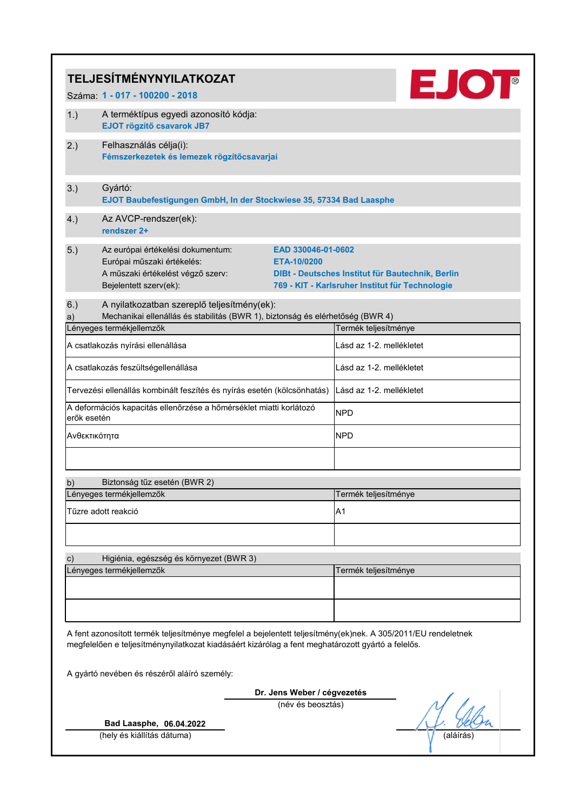|                                                                                                                                                                                                                    | <b>EJOT</b><br><b>TELJESÍTMÉNYNYILATKOZAT</b>                                                                                  |                                   |                                                                                                     |          |  |
|--------------------------------------------------------------------------------------------------------------------------------------------------------------------------------------------------------------------|--------------------------------------------------------------------------------------------------------------------------------|-----------------------------------|-----------------------------------------------------------------------------------------------------|----------|--|
|                                                                                                                                                                                                                    | Száma: 1 - 017 - 100200 - 2018                                                                                                 |                                   |                                                                                                     |          |  |
| 1.)                                                                                                                                                                                                                | A terméktípus egyedi azonosító kódja:<br>EJOT rögzítő csavarok JB7                                                             |                                   |                                                                                                     |          |  |
| 2.)                                                                                                                                                                                                                | Felhasználás célja(i):<br>Fémszerkezetek és lemezek rögzítőcsavarjai                                                           |                                   |                                                                                                     |          |  |
| 3.)                                                                                                                                                                                                                | Gyártó:<br>EJOT Baubefestigungen GmbH, In der Stockwiese 35, 57334 Bad Laasphe                                                 |                                   |                                                                                                     |          |  |
| 4.)                                                                                                                                                                                                                | Az AVCP-rendszer(ek):<br>rendszer 2+                                                                                           |                                   |                                                                                                     |          |  |
| 5.)                                                                                                                                                                                                                | Az európai értékelési dokumentum:<br>Európai műszaki értékelés:<br>A műszaki értékelést végző szerv:<br>Bejelentett szerv(ek): | EAD 330046-01-0602<br>ETA-10/0200 | DIBt - Deutsches Institut für Bautechnik, Berlin<br>769 - KIT - Karlsruher Institut für Technologie |          |  |
| 6.)                                                                                                                                                                                                                | A nyilatkozatban szereplő teljesítmény(ek):                                                                                    |                                   |                                                                                                     |          |  |
| a)                                                                                                                                                                                                                 | Mechanikai ellenállás és stabilitás (BWR 1), biztonság és elérhetőség (BWR 4)<br>Lényeges termékjellemzők                      |                                   | Termék teljesítménye                                                                                |          |  |
|                                                                                                                                                                                                                    | A csatlakozás nyírási ellenállása                                                                                              |                                   | Lásd az 1-2. mellékletet                                                                            |          |  |
|                                                                                                                                                                                                                    | A csatlakozás feszültségellenállása                                                                                            |                                   | Lásd az 1-2. mellékletet                                                                            |          |  |
|                                                                                                                                                                                                                    | Tervezési ellenállás kombinált feszítés és nyírás esetén (kölcsönhatás)                                                        |                                   | Lásd az 1-2. mellékletet                                                                            |          |  |
| erők esetén                                                                                                                                                                                                        | A deformációs kapacitás ellenőrzése a hőmérséklet miatti korlátozó                                                             |                                   | <b>NPD</b>                                                                                          |          |  |
| Ανθεκτικότητα                                                                                                                                                                                                      |                                                                                                                                |                                   | <b>NPD</b>                                                                                          |          |  |
|                                                                                                                                                                                                                    |                                                                                                                                |                                   |                                                                                                     |          |  |
| b)                                                                                                                                                                                                                 | Biztonság tűz esetén (BWR 2)                                                                                                   |                                   |                                                                                                     |          |  |
|                                                                                                                                                                                                                    | Lényeges termékjellemzők                                                                                                       |                                   | Termék teljesítménye                                                                                |          |  |
|                                                                                                                                                                                                                    | Tűzre adott reakció                                                                                                            |                                   | A <sub>1</sub>                                                                                      |          |  |
|                                                                                                                                                                                                                    |                                                                                                                                |                                   |                                                                                                     |          |  |
| $\mathbf{c})$                                                                                                                                                                                                      | Higiénia, egészség és környezet (BWR 3)                                                                                        |                                   |                                                                                                     |          |  |
|                                                                                                                                                                                                                    | Lényeges termékjellemzők                                                                                                       |                                   | Termék teljesítménye                                                                                |          |  |
|                                                                                                                                                                                                                    |                                                                                                                                |                                   |                                                                                                     |          |  |
| A fent azonosított termék teljesítménye megfelel a bejelentett teljesítmény(ek)nek. A 305/2011/EU rendeletnek<br>megfelelően e teljesítménynyilatkozat kiadásáért kizárólag a fent meghatározott gyártó a felelős. |                                                                                                                                |                                   |                                                                                                     |          |  |
| A gyártó nevében és részéről aláíró személy:                                                                                                                                                                       |                                                                                                                                |                                   |                                                                                                     |          |  |
|                                                                                                                                                                                                                    |                                                                                                                                | Dr. Jens Weber / cégvezetés       |                                                                                                     |          |  |
|                                                                                                                                                                                                                    | (név és beosztás)                                                                                                              |                                   |                                                                                                     |          |  |
|                                                                                                                                                                                                                    | Bad Laasphe, 06.04.2022<br>(hely és kiállítás dátuma)                                                                          |                                   |                                                                                                     | (aláírás |  |
|                                                                                                                                                                                                                    |                                                                                                                                |                                   |                                                                                                     |          |  |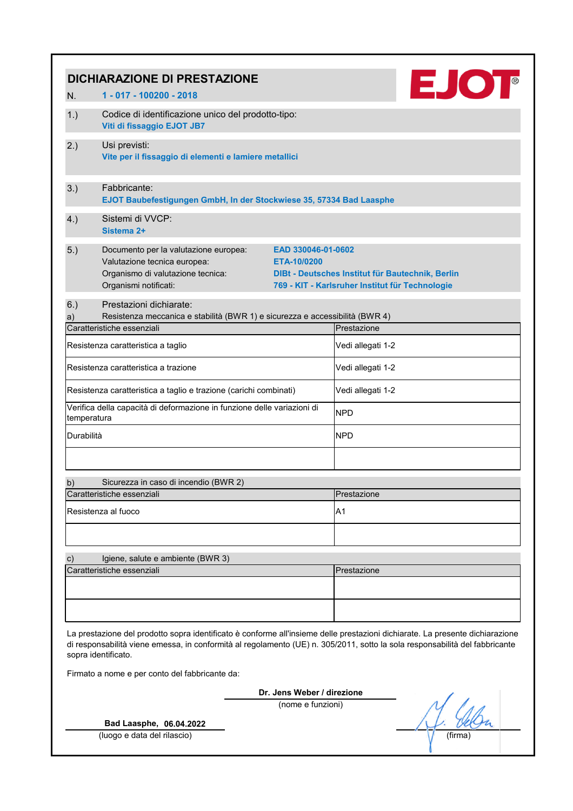|                                                                                                                                                                                                                                                                                     | <b>EJOT</b><br><b>DICHIARAZIONE DI PRESTAZIONE</b>                                                                                                                       |                                                                                                     |  |  |
|-------------------------------------------------------------------------------------------------------------------------------------------------------------------------------------------------------------------------------------------------------------------------------------|--------------------------------------------------------------------------------------------------------------------------------------------------------------------------|-----------------------------------------------------------------------------------------------------|--|--|
| N.                                                                                                                                                                                                                                                                                  | 1 - 017 - 100200 - 2018                                                                                                                                                  |                                                                                                     |  |  |
| 1.)                                                                                                                                                                                                                                                                                 | Codice di identificazione unico del prodotto-tipo:<br>Viti di fissaggio EJOT JB7                                                                                         |                                                                                                     |  |  |
| 2.)                                                                                                                                                                                                                                                                                 | Usi previsti:<br>Vite per il fissaggio di elementi e lamiere metallici                                                                                                   |                                                                                                     |  |  |
| 3.)                                                                                                                                                                                                                                                                                 | Fabbricante:<br>EJOT Baubefestigungen GmbH, In der Stockwiese 35, 57334 Bad Laasphe                                                                                      |                                                                                                     |  |  |
| 4.)                                                                                                                                                                                                                                                                                 | Sistemi di VVCP:<br>Sistema 2+                                                                                                                                           |                                                                                                     |  |  |
| 5.)                                                                                                                                                                                                                                                                                 | Documento per la valutazione europea:<br>EAD 330046-01-0602<br>Valutazione tecnica europea:<br>ETA-10/0200<br>Organismo di valutazione tecnica:<br>Organismi notificati: | DIBt - Deutsches Institut für Bautechnik, Berlin<br>769 - KIT - Karlsruher Institut für Technologie |  |  |
| 6.)<br>a)                                                                                                                                                                                                                                                                           | Prestazioni dichiarate:<br>Resistenza meccanica e stabilità (BWR 1) e sicurezza e accessibilità (BWR 4)<br>Caratteristiche essenziali                                    | Prestazione                                                                                         |  |  |
|                                                                                                                                                                                                                                                                                     | Resistenza caratteristica a taglio                                                                                                                                       | Vedi allegati 1-2                                                                                   |  |  |
|                                                                                                                                                                                                                                                                                     | Resistenza caratteristica a trazione                                                                                                                                     | Vedi allegati 1-2                                                                                   |  |  |
|                                                                                                                                                                                                                                                                                     | Resistenza caratteristica a taglio e trazione (carichi combinati)                                                                                                        | Vedi allegati 1-2                                                                                   |  |  |
| temperatura                                                                                                                                                                                                                                                                         | Verifica della capacità di deformazione in funzione delle variazioni di                                                                                                  | <b>NPD</b>                                                                                          |  |  |
| Durabilità                                                                                                                                                                                                                                                                          |                                                                                                                                                                          | <b>NPD</b>                                                                                          |  |  |
| b)                                                                                                                                                                                                                                                                                  | Sicurezza in caso di incendio (BWR 2)                                                                                                                                    |                                                                                                     |  |  |
|                                                                                                                                                                                                                                                                                     | Caratteristiche essenziali                                                                                                                                               | Prestazione                                                                                         |  |  |
|                                                                                                                                                                                                                                                                                     | Resistenza al fuoco                                                                                                                                                      | A <sub>1</sub>                                                                                      |  |  |
|                                                                                                                                                                                                                                                                                     |                                                                                                                                                                          |                                                                                                     |  |  |
| c)                                                                                                                                                                                                                                                                                  | Igiene, salute e ambiente (BWR 3)                                                                                                                                        |                                                                                                     |  |  |
|                                                                                                                                                                                                                                                                                     | Caratteristiche essenziali                                                                                                                                               | Prestazione                                                                                         |  |  |
|                                                                                                                                                                                                                                                                                     |                                                                                                                                                                          |                                                                                                     |  |  |
| La prestazione del prodotto sopra identificato è conforme all'insieme delle prestazioni dichiarate. La presente dichiarazione<br>di responsabilità viene emessa, in conformità al regolamento (UE) n. 305/2011, sotto la sola responsabilità del fabbricante<br>sopra identificato. |                                                                                                                                                                          |                                                                                                     |  |  |
|                                                                                                                                                                                                                                                                                     | Firmato a nome e per conto del fabbricante da:                                                                                                                           |                                                                                                     |  |  |
|                                                                                                                                                                                                                                                                                     | Dr. Jens Weber / direzione                                                                                                                                               |                                                                                                     |  |  |
|                                                                                                                                                                                                                                                                                     | (nome e funzioni)<br>Bad Laasphe, 06.04.2022                                                                                                                             |                                                                                                     |  |  |
|                                                                                                                                                                                                                                                                                     | (luogo e data del rilascio)                                                                                                                                              | (firma                                                                                              |  |  |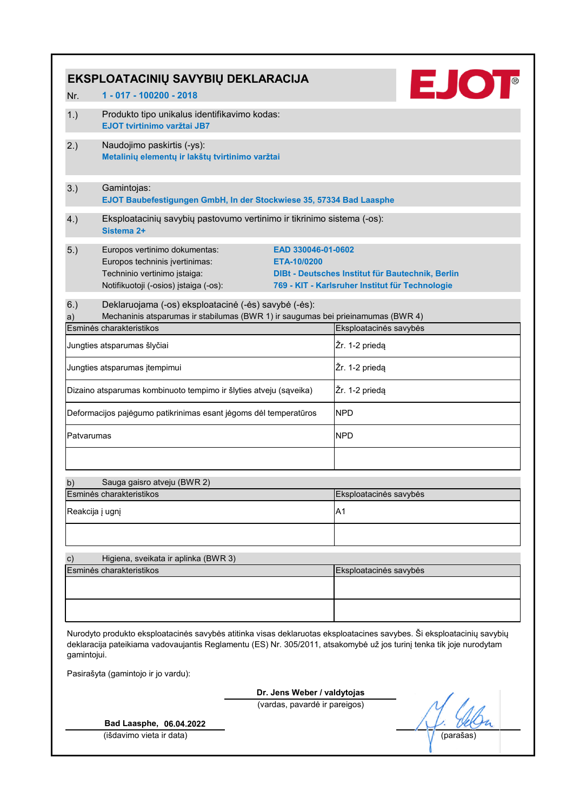|                 | EKSPLOATACINIŲ SAVYBIŲ DEKLARACIJA                                                                           | <b>EJOT</b>                                                                                                                                                                                                                                   |
|-----------------|--------------------------------------------------------------------------------------------------------------|-----------------------------------------------------------------------------------------------------------------------------------------------------------------------------------------------------------------------------------------------|
| Nr.             | 1 - 017 - 100200 - 2018                                                                                      |                                                                                                                                                                                                                                               |
| 1.)             | Produkto tipo unikalus identifikavimo kodas:<br><b>EJOT tvirtinimo varžtai JB7</b>                           |                                                                                                                                                                                                                                               |
| 2.)             | Naudojimo paskirtis (-ys):<br>Metalinių elementų ir lakštų tvirtinimo varžtai                                |                                                                                                                                                                                                                                               |
| 3.)             | Gamintojas:<br>EJOT Baubefestigungen GmbH, In der Stockwiese 35, 57334 Bad Laasphe                           |                                                                                                                                                                                                                                               |
| 4.)             | Eksploatacinių savybių pastovumo vertinimo ir tikrinimo sistema (-os):<br>Sistema 2+                         |                                                                                                                                                                                                                                               |
| 5.)             | Europos vertinimo dokumentas:                                                                                | EAD 330046-01-0602                                                                                                                                                                                                                            |
|                 | Europos techninis įvertinimas:                                                                               | ETA-10/0200                                                                                                                                                                                                                                   |
|                 | Techninio vertinimo įstaiga:                                                                                 | DIBt - Deutsches Institut für Bautechnik, Berlin                                                                                                                                                                                              |
|                 | Notifikuotoji (-osios) įstaiga (-os):                                                                        | 769 - KIT - Karlsruher Institut für Technologie                                                                                                                                                                                               |
| 6.)             | Deklaruojama (-os) eksploatacinė (-ės) savybė (-ės):                                                         |                                                                                                                                                                                                                                               |
| a)              | Mechaninis atsparumas ir stabilumas (BWR 1) ir saugumas bei prieinamumas (BWR 4)<br>Esminės charakteristikos | Eksploatacinės savybės                                                                                                                                                                                                                        |
|                 | Jungties atsparumas šlyčiai                                                                                  | Žr. 1-2 priedą                                                                                                                                                                                                                                |
|                 | Jungties atsparumas įtempimui                                                                                | Žr. 1-2 priedą                                                                                                                                                                                                                                |
|                 |                                                                                                              |                                                                                                                                                                                                                                               |
|                 | Dizaino atsparumas kombinuoto tempimo ir šlyties atveju (sąveika)                                            | Žr. 1-2 priedą                                                                                                                                                                                                                                |
|                 | Deformacijos pajėgumo patikrinimas esant jėgoms dėl temperatūros                                             | <b>NPD</b>                                                                                                                                                                                                                                    |
| Patvarumas      |                                                                                                              | <b>NPD</b>                                                                                                                                                                                                                                    |
|                 |                                                                                                              |                                                                                                                                                                                                                                               |
| b)              | Sauga gaisro atveju (BWR 2)                                                                                  |                                                                                                                                                                                                                                               |
|                 | Esminės charakteristikos                                                                                     | Eksploatacinės savybės                                                                                                                                                                                                                        |
| Reakcija į ugnį |                                                                                                              | A <sub>1</sub>                                                                                                                                                                                                                                |
|                 |                                                                                                              |                                                                                                                                                                                                                                               |
| $\mathbf{c})$   | Higiena, sveikata ir aplinka (BWR 3)                                                                         |                                                                                                                                                                                                                                               |
|                 | Esminės charakteristikos                                                                                     | Eksploatacinės savybės                                                                                                                                                                                                                        |
|                 |                                                                                                              |                                                                                                                                                                                                                                               |
|                 |                                                                                                              |                                                                                                                                                                                                                                               |
| gamintojui.     |                                                                                                              | Nurodyto produkto eksploatacinės savybės atitinka visas deklaruotas eksploatacines savybes. Ši eksploatacinių savybių<br>deklaracija pateikiama vadovaujantis Reglamentu (ES) Nr. 305/2011, atsakomybė už jos turinį tenka tik joje nurodytam |
|                 | Pasirašyta (gamintojo ir jo vardu):                                                                          |                                                                                                                                                                                                                                               |
|                 |                                                                                                              | Dr. Jens Weber / valdytojas                                                                                                                                                                                                                   |
|                 |                                                                                                              | (vardas, pavardė ir pareigos)                                                                                                                                                                                                                 |
|                 | Bad Laasphe, 06.04.2022                                                                                      |                                                                                                                                                                                                                                               |
|                 | (išdavimo vieta ir data)                                                                                     | (parašas                                                                                                                                                                                                                                      |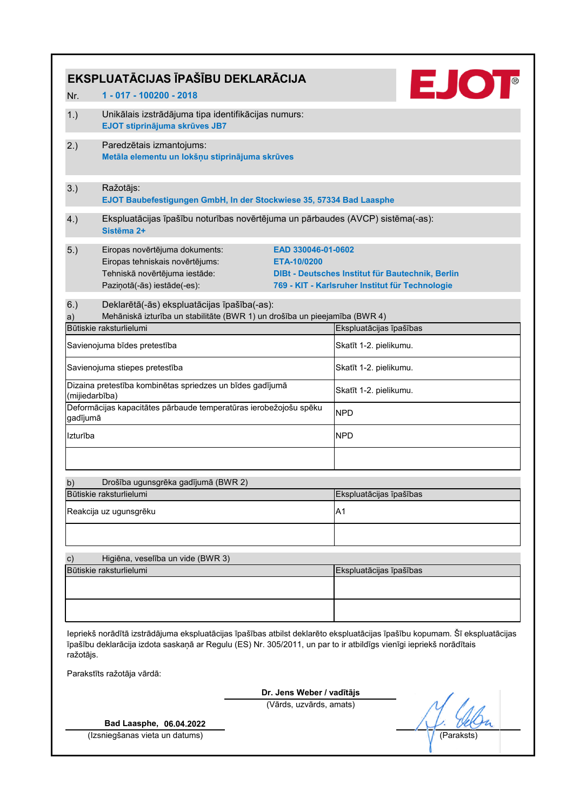|                | EKSPLUATĀCIJAS ĪPAŠĪBU DEKLARĀCIJA                                                                                                |                                                                                                                           |                                                                                                                            |  |  |  |
|----------------|-----------------------------------------------------------------------------------------------------------------------------------|---------------------------------------------------------------------------------------------------------------------------|----------------------------------------------------------------------------------------------------------------------------|--|--|--|
| Nr.            | 1 - 017 - 100200 - 2018                                                                                                           |                                                                                                                           | EJOT                                                                                                                       |  |  |  |
| 1.)            | Unikālais izstrādājuma tipa identifikācijas numurs:<br>EJOT stiprinājuma skrūves JB7                                              |                                                                                                                           |                                                                                                                            |  |  |  |
| 2.)            | Paredzētais izmantojums:<br>Metāla elementu un lokšņu stiprinājuma skrūves                                                        |                                                                                                                           |                                                                                                                            |  |  |  |
| 3.)            | Ražotājs:<br>EJOT Baubefestigungen GmbH, In der Stockwiese 35, 57334 Bad Laasphe                                                  |                                                                                                                           |                                                                                                                            |  |  |  |
| 4.)            | Ekspluatācijas īpašību noturības novērtējuma un pārbaudes (AVCP) sistēma(-as):<br>Sistēma 2+                                      |                                                                                                                           |                                                                                                                            |  |  |  |
| 5.)            | Eiropas novērtējuma dokuments:<br>Eiropas tehniskais novērtējums:<br>Tehniskā novērtējuma iestāde:<br>Paziņotā(-ās) iestāde(-es): | EAD 330046-01-0602<br>DIBt - Deutsches Institut für Bautechnik, Berlin<br>769 - KIT - Karlsruher Institut für Technologie |                                                                                                                            |  |  |  |
| 6.)            | Deklarētā(-ās) ekspluatācijas īpašība(-as):                                                                                       |                                                                                                                           |                                                                                                                            |  |  |  |
| a)             | Mehāniskā izturība un stabilitāte (BWR 1) un drošība un pieejamība (BWR 4)<br>Būtiskie raksturlielumi                             |                                                                                                                           | Ekspluatācijas īpašības                                                                                                    |  |  |  |
|                | Savienojuma bīdes pretestība                                                                                                      |                                                                                                                           | Skatīt 1-2. pielikumu.                                                                                                     |  |  |  |
|                | Savienojuma stiepes pretestība                                                                                                    |                                                                                                                           | Skatīt 1-2. pielikumu.                                                                                                     |  |  |  |
| (mijiedarbība) | Dizaina pretestība kombinētas spriedzes un bīdes gadījumā                                                                         |                                                                                                                           | Skatīt 1-2. pielikumu.                                                                                                     |  |  |  |
| gadījumā       | Deformācijas kapacitātes pārbaude temperatūras ierobežojošu spēku                                                                 |                                                                                                                           | <b>NPD</b>                                                                                                                 |  |  |  |
| Izturība       |                                                                                                                                   |                                                                                                                           | <b>NPD</b>                                                                                                                 |  |  |  |
|                |                                                                                                                                   |                                                                                                                           |                                                                                                                            |  |  |  |
| b)             | Drošība ugunsgrēka gadījumā (BWR 2)                                                                                               |                                                                                                                           |                                                                                                                            |  |  |  |
|                | Būtiskie raksturlielumi<br>Reakcija uz ugunsgrēku                                                                                 |                                                                                                                           | Ekspluatācijas īpašības<br>A1                                                                                              |  |  |  |
|                |                                                                                                                                   |                                                                                                                           |                                                                                                                            |  |  |  |
| c)             | Higiēna, veselība un vide (BWR 3)                                                                                                 |                                                                                                                           |                                                                                                                            |  |  |  |
|                | Būtiskie raksturlielumi                                                                                                           |                                                                                                                           | Ekspluatācijas īpašības                                                                                                    |  |  |  |
|                |                                                                                                                                   |                                                                                                                           |                                                                                                                            |  |  |  |
| ražotājs.      | īpašību deklarācija izdota saskaņā ar Regulu (ES) Nr. 305/2011, un par to ir atbildīgs vienīgi iepriekš norādītais                |                                                                                                                           | Iepriekš norādītā izstrādājuma ekspluatācijas īpašības atbilst deklarēto ekspluatācijas īpašību kopumam. Šī ekspluatācijas |  |  |  |
|                | Parakstīts ražotāja vārdā:                                                                                                        |                                                                                                                           |                                                                                                                            |  |  |  |
|                |                                                                                                                                   | Dr. Jens Weber / vadītājs                                                                                                 |                                                                                                                            |  |  |  |
|                |                                                                                                                                   | (Vārds, uzvārds, amats)                                                                                                   |                                                                                                                            |  |  |  |
|                | Bad Laasphe, 06.04.2022                                                                                                           |                                                                                                                           |                                                                                                                            |  |  |  |
|                | (Izsniegšanas vieta un datums)                                                                                                    |                                                                                                                           | (Paraksts                                                                                                                  |  |  |  |
|                |                                                                                                                                   |                                                                                                                           |                                                                                                                            |  |  |  |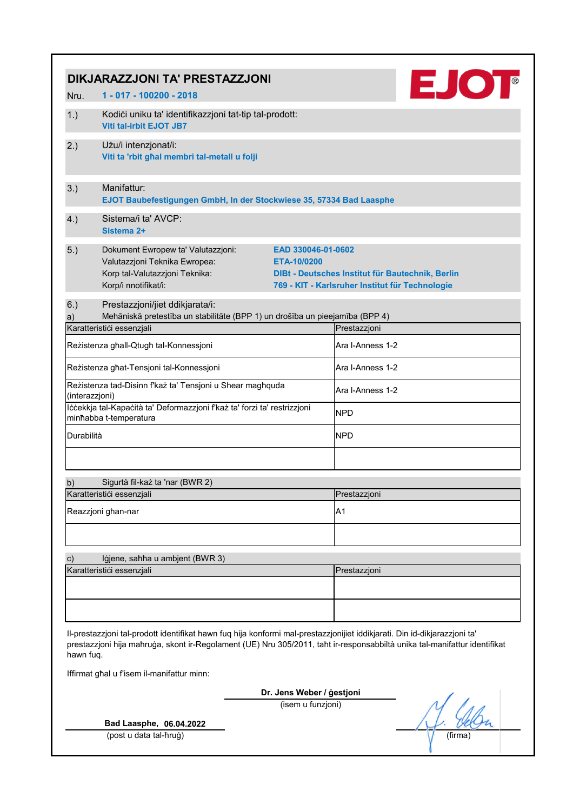|               | DIKJARAZZJONI TA' PRESTAZZJONI                                                                                                                                                                                                                         |                                   |                                                                                                     | <b>EJOT</b> |
|---------------|--------------------------------------------------------------------------------------------------------------------------------------------------------------------------------------------------------------------------------------------------------|-----------------------------------|-----------------------------------------------------------------------------------------------------|-------------|
| Nru.          | 1 - 017 - 100200 - 2018                                                                                                                                                                                                                                |                                   |                                                                                                     |             |
| 1.)           | Kodići uniku ta' identifikazzjoni tat-tip tal-prodott:<br><b>Viti tal-irbit EJOT JB7</b>                                                                                                                                                               |                                   |                                                                                                     |             |
| 2.)           | Użu/i intenzjonat/i:<br>Viti ta 'rbit ghal membri tal-metall u folji                                                                                                                                                                                   |                                   |                                                                                                     |             |
| 3.)           | Manifattur:<br>EJOT Baubefestigungen GmbH, In der Stockwiese 35, 57334 Bad Laasphe                                                                                                                                                                     |                                   |                                                                                                     |             |
| 4.)           | Sistema/i ta' AVCP:<br>Sistema 2+                                                                                                                                                                                                                      |                                   |                                                                                                     |             |
| 5.)           | Dokument Ewropew ta' Valutazzjoni:<br>Valutazzjoni Teknika Ewropea:<br>Korp tal-Valutazzjoni Teknika:<br>Korp/i nnotifikat/i:                                                                                                                          | EAD 330046-01-0602<br>ETA-10/0200 | DIBt - Deutsches Institut für Bautechnik, Berlin<br>769 - KIT - Karlsruher Institut für Technologie |             |
| 6.)           | Prestazzjoni/jiet ddikjarata/i:                                                                                                                                                                                                                        |                                   |                                                                                                     |             |
| a)            | Mehāniskā pretestība un stabilitāte (BPP 1) un drošība un pieejamība (BPP 4)<br>Karatteristići essenzjali                                                                                                                                              |                                   | Prestazzjoni                                                                                        |             |
|               | Reżistenza għall-Qtugħ tal-Konnessjoni                                                                                                                                                                                                                 |                                   | Ara I-Anness 1-2                                                                                    |             |
|               | Reżistenza għat-Tensjoni tal-Konnessjoni                                                                                                                                                                                                               |                                   | Ara I-Anness 1-2                                                                                    |             |
|               | Reżistenza tad-Disinn f'każ ta' Tensjoni u Shear magħquda<br>(interazzjoni)<br>lċċekkja tal-Kapaċità ta' Deformazzjoni f'każ ta' forzi ta' restrizzjoni<br>minhabba t-temperatura                                                                      |                                   | Ara I-Anness 1-2<br><b>NPD</b>                                                                      |             |
| Durabilità    |                                                                                                                                                                                                                                                        |                                   | <b>NPD</b>                                                                                          |             |
| b)            | Sigurtà fil-każ ta 'nar (BWR 2)                                                                                                                                                                                                                        |                                   |                                                                                                     |             |
|               | Karatteristici essenzjali                                                                                                                                                                                                                              |                                   | Prestazzjoni                                                                                        |             |
|               | Reazzjoni għan-nar                                                                                                                                                                                                                                     |                                   | A <sub>1</sub>                                                                                      |             |
|               |                                                                                                                                                                                                                                                        |                                   |                                                                                                     |             |
| $\mathbf{c})$ | Igjene, sahha u ambjent (BWR 3)<br>Karatteristici essenzjali                                                                                                                                                                                           |                                   | Prestazzjoni                                                                                        |             |
|               |                                                                                                                                                                                                                                                        |                                   |                                                                                                     |             |
|               |                                                                                                                                                                                                                                                        |                                   |                                                                                                     |             |
| hawn fuq.     | II-prestazzjoni tal-prodott identifikat hawn fuq hija konformi mal-prestazzjonijiet iddikjarati. Din id-dikjarazzjoni ta'<br>prestazzjoni hija maħruġa, skont ir-Regolament (UE) Nru 305/2011, taħt ir-responsabbiltà unika tal-manifattur identifikat |                                   |                                                                                                     |             |
|               | Iffirmat ghal u f'isem il-manifattur minn:                                                                                                                                                                                                             |                                   |                                                                                                     |             |
|               |                                                                                                                                                                                                                                                        | Dr. Jens Weber / gestjoni         |                                                                                                     |             |
|               |                                                                                                                                                                                                                                                        | (isem u funzjoni)                 |                                                                                                     |             |
|               | Bad Laasphe, 06.04.2022                                                                                                                                                                                                                                |                                   |                                                                                                     |             |
|               | (post u data tal-ħruġ)                                                                                                                                                                                                                                 |                                   |                                                                                                     | (firma)     |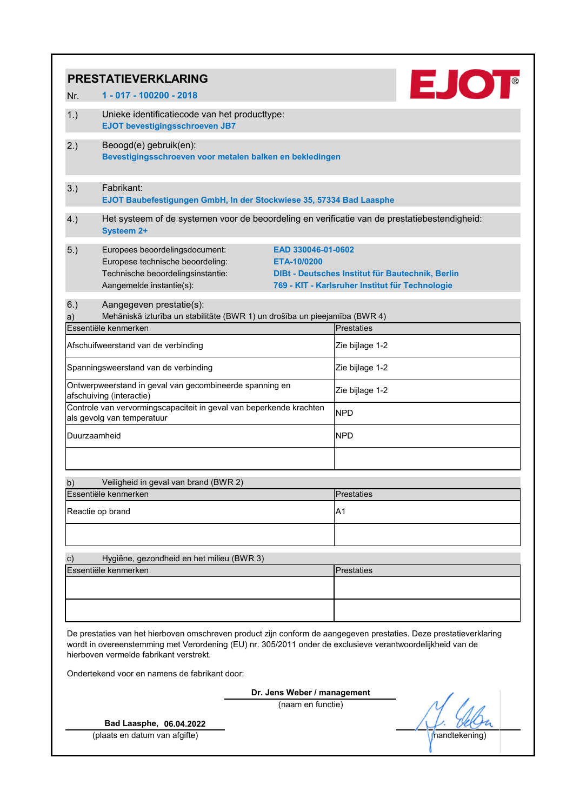|               | <b>PRESTATIEVERKLARING</b>                                                                                                                                                                                                                                                  |                                                                                                                           |                   |                   |  |  |  |
|---------------|-----------------------------------------------------------------------------------------------------------------------------------------------------------------------------------------------------------------------------------------------------------------------------|---------------------------------------------------------------------------------------------------------------------------|-------------------|-------------------|--|--|--|
| Nr.           | 1 - 017 - 100200 - 2018                                                                                                                                                                                                                                                     |                                                                                                                           |                   | EJOT <sup>®</sup> |  |  |  |
| 1.)           | Unieke identificatiecode van het producttype:<br><b>EJOT bevestigingsschroeven JB7</b>                                                                                                                                                                                      |                                                                                                                           |                   |                   |  |  |  |
| 2.)           | Beoogd(e) gebruik(en):<br>Bevestigingsschroeven voor metalen balken en bekledingen                                                                                                                                                                                          |                                                                                                                           |                   |                   |  |  |  |
| 3.)           | Fabrikant:<br>EJOT Baubefestigungen GmbH, In der Stockwiese 35, 57334 Bad Laasphe                                                                                                                                                                                           |                                                                                                                           |                   |                   |  |  |  |
| 4.)           | Het systeem of de systemen voor de beoordeling en verificatie van de prestatiebestendigheid:<br><b>Systeem 2+</b>                                                                                                                                                           |                                                                                                                           |                   |                   |  |  |  |
| 5.)           | Europees beoordelingsdocument:<br>Europese technische beoordeling:<br>Technische beoordelingsinstantie:<br>Aangemelde instantie(s):                                                                                                                                         | EAD 330046-01-0602<br>DIBt - Deutsches Institut für Bautechnik, Berlin<br>769 - KIT - Karlsruher Institut für Technologie |                   |                   |  |  |  |
| 6.)           | Aangegeven prestatie(s):                                                                                                                                                                                                                                                    |                                                                                                                           |                   |                   |  |  |  |
| a)            | Mehāniskā izturība un stabilitāte (BWR 1) un drošība un pieejamība (BWR 4)<br>Essentiële kenmerken                                                                                                                                                                          |                                                                                                                           | <b>Prestaties</b> |                   |  |  |  |
|               | Afschuifweerstand van de verbinding                                                                                                                                                                                                                                         |                                                                                                                           | Zie bijlage 1-2   |                   |  |  |  |
|               | Spanningsweerstand van de verbinding                                                                                                                                                                                                                                        |                                                                                                                           | Zie bijlage 1-2   |                   |  |  |  |
|               | Ontwerpweerstand in geval van gecombineerde spanning en<br>afschuiving (interactie)                                                                                                                                                                                         |                                                                                                                           | Zie bijlage 1-2   |                   |  |  |  |
|               | Controle van vervormingscapaciteit in geval van beperkende krachten<br>als gevolg van temperatuur                                                                                                                                                                           |                                                                                                                           | <b>NPD</b>        |                   |  |  |  |
| Duurzaamheid  |                                                                                                                                                                                                                                                                             |                                                                                                                           | <b>NPD</b>        |                   |  |  |  |
| b)            | Veiligheid in geval van brand (BWR 2)                                                                                                                                                                                                                                       |                                                                                                                           |                   |                   |  |  |  |
|               | Essentiële kenmerken                                                                                                                                                                                                                                                        |                                                                                                                           | <b>Prestaties</b> |                   |  |  |  |
|               | Reactie op brand                                                                                                                                                                                                                                                            |                                                                                                                           | A1                |                   |  |  |  |
| $\mathbf{c})$ | Hygiëne, gezondheid en het milieu (BWR 3)<br>Essentiële kenmerken                                                                                                                                                                                                           |                                                                                                                           | <b>Prestaties</b> |                   |  |  |  |
|               | De prestaties van het hierboven omschreven product zijn conform de aangegeven prestaties. Deze prestatieverklaring<br>wordt in overeenstemming met Verordening (EU) nr. 305/2011 onder de exclusieve verantwoordelijkheid van de<br>hierboven vermelde fabrikant verstrekt. |                                                                                                                           |                   |                   |  |  |  |
|               | Ondertekend voor en namens de fabrikant door:                                                                                                                                                                                                                               |                                                                                                                           |                   |                   |  |  |  |
|               |                                                                                                                                                                                                                                                                             | Dr. Jens Weber / management<br>(naam en functie)                                                                          |                   |                   |  |  |  |
|               | Bad Laasphe, 06.04.2022<br>(plaats en datum van afgifte)                                                                                                                                                                                                                    |                                                                                                                           |                   | handtekening      |  |  |  |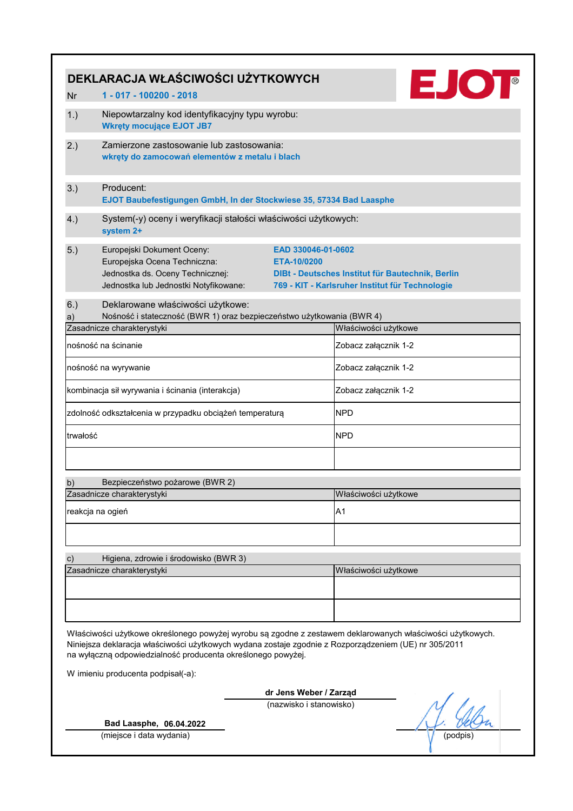|               | DEKLARACJA WŁAŚCIWOŚCI UŻYTKOWYCH                                                                                                                                                                                                                                                                                         |                                   | <b>EJOT</b>                                                                                         |  |  |  |  |
|---------------|---------------------------------------------------------------------------------------------------------------------------------------------------------------------------------------------------------------------------------------------------------------------------------------------------------------------------|-----------------------------------|-----------------------------------------------------------------------------------------------------|--|--|--|--|
| <b>Nr</b>     | 1 - 017 - 100200 - 2018                                                                                                                                                                                                                                                                                                   |                                   |                                                                                                     |  |  |  |  |
| 1.)           | Niepowtarzalny kod identyfikacyjny typu wyrobu:<br><b>Wkręty mocujące EJOT JB7</b>                                                                                                                                                                                                                                        |                                   |                                                                                                     |  |  |  |  |
| 2.)           | Zamierzone zastosowanie lub zastosowania:<br>wkręty do zamocowań elementów z metalu i blach                                                                                                                                                                                                                               |                                   |                                                                                                     |  |  |  |  |
| 3.)           | Producent:<br>EJOT Baubefestigungen GmbH, In der Stockwiese 35, 57334 Bad Laasphe                                                                                                                                                                                                                                         |                                   |                                                                                                     |  |  |  |  |
| 4.)           | System(-y) oceny i weryfikacji stałości właściwości użytkowych:<br>system 2+                                                                                                                                                                                                                                              |                                   |                                                                                                     |  |  |  |  |
| 5.)           | Europejski Dokument Oceny:<br>Europejska Ocena Techniczna:<br>Jednostka ds. Oceny Technicznej:<br>Jednostka lub Jednostki Notyfikowane:                                                                                                                                                                                   | EAD 330046-01-0602<br>ETA-10/0200 | DIBt - Deutsches Institut für Bautechnik, Berlin<br>769 - KIT - Karlsruher Institut für Technologie |  |  |  |  |
| 6.)           | Deklarowane właściwości użytkowe:                                                                                                                                                                                                                                                                                         |                                   |                                                                                                     |  |  |  |  |
| a)            | Nośność i stateczność (BWR 1) oraz bezpieczeństwo użytkowania (BWR 4)                                                                                                                                                                                                                                                     |                                   |                                                                                                     |  |  |  |  |
|               | Zasadnicze charakterystyki                                                                                                                                                                                                                                                                                                |                                   | Właściwości użytkowe                                                                                |  |  |  |  |
|               | nośność na ścinanie                                                                                                                                                                                                                                                                                                       |                                   | Zobacz załącznik 1-2                                                                                |  |  |  |  |
|               | nośność na wyrywanie                                                                                                                                                                                                                                                                                                      |                                   | Zobacz załącznik 1-2                                                                                |  |  |  |  |
|               | kombinacja sił wyrywania i ścinania (interakcja)                                                                                                                                                                                                                                                                          |                                   | Zobacz załącznik 1-2                                                                                |  |  |  |  |
|               | zdolność odkształcenia w przypadku obciążeń temperaturą                                                                                                                                                                                                                                                                   |                                   | <b>NPD</b>                                                                                          |  |  |  |  |
| trwałość      |                                                                                                                                                                                                                                                                                                                           |                                   | <b>NPD</b>                                                                                          |  |  |  |  |
| b)            | Bezpieczeństwo pożarowe (BWR 2)                                                                                                                                                                                                                                                                                           |                                   |                                                                                                     |  |  |  |  |
|               | Zasadnicze charakterystyki                                                                                                                                                                                                                                                                                                |                                   | Właściwości użytkowe                                                                                |  |  |  |  |
|               | reakcja na ogień                                                                                                                                                                                                                                                                                                          |                                   | A1                                                                                                  |  |  |  |  |
|               |                                                                                                                                                                                                                                                                                                                           |                                   |                                                                                                     |  |  |  |  |
| $\mathbf{c})$ | Higiena, zdrowie i środowisko (BWR 3)                                                                                                                                                                                                                                                                                     |                                   |                                                                                                     |  |  |  |  |
|               | Zasadnicze charakterystyki                                                                                                                                                                                                                                                                                                |                                   | Właściwości użytkowe                                                                                |  |  |  |  |
|               |                                                                                                                                                                                                                                                                                                                           |                                   |                                                                                                     |  |  |  |  |
|               | Właściwości użytkowe określonego powyżej wyrobu są zgodne z zestawem deklarowanych właściwości użytkowych.<br>Niniejsza deklaracja właściwości użytkowych wydana zostaje zgodnie z Rozporządzeniem (UE) nr 305/2011<br>na wyłączną odpowiedzialność producenta określonego powyżej.<br>W imieniu producenta podpisał(-a): |                                   |                                                                                                     |  |  |  |  |
|               |                                                                                                                                                                                                                                                                                                                           | dr Jens Weber / Zarząd            |                                                                                                     |  |  |  |  |
|               | Bad Laasphe, 06.04.2022                                                                                                                                                                                                                                                                                                   | (nazwisko i stanowisko)           |                                                                                                     |  |  |  |  |
|               | (miejsce i data wydania)                                                                                                                                                                                                                                                                                                  |                                   | (podpis                                                                                             |  |  |  |  |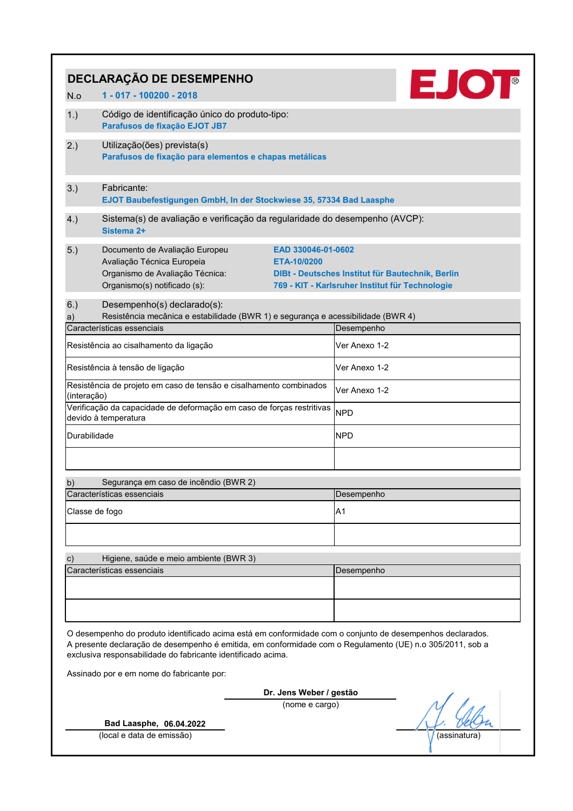|                | DECLARAÇÃO DE DESEMPENHO                                                                                                                                                                                                                                                                                                            |                                                                                                     |
|----------------|-------------------------------------------------------------------------------------------------------------------------------------------------------------------------------------------------------------------------------------------------------------------------------------------------------------------------------------|-----------------------------------------------------------------------------------------------------|
| N.o            | 1 - 017 - 100200 - 2018                                                                                                                                                                                                                                                                                                             | <b>EJOT</b>                                                                                         |
| 1.)            | Código de identificação único do produto-tipo:<br>Parafusos de fixação EJOT JB7                                                                                                                                                                                                                                                     |                                                                                                     |
| 2.)            | Utilização(ões) prevista(s)<br>Parafusos de fixação para elementos e chapas metálicas                                                                                                                                                                                                                                               |                                                                                                     |
| 3.)            | Fabricante:<br>EJOT Baubefestigungen GmbH, In der Stockwiese 35, 57334 Bad Laasphe                                                                                                                                                                                                                                                  |                                                                                                     |
| 4.)            | Sistema(s) de avaliação e verificação da regularidade do desempenho (AVCP):<br>Sistema 2+                                                                                                                                                                                                                                           |                                                                                                     |
| 5.)            | Documento de Avaliação Europeu<br>EAD 330046-01-0602<br>Avaliação Técnica Europeia<br>ETA-10/0200<br>Organismo de Avaliação Técnica:<br>Organismo(s) notificado (s):                                                                                                                                                                | DIBt - Deutsches Institut für Bautechnik, Berlin<br>769 - KIT - Karlsruher Institut für Technologie |
| 6.)<br>a)      | Desempenho(s) declarado(s):<br>Resistência mecânica e estabilidade (BWR 1) e segurança e acessibilidade (BWR 4)                                                                                                                                                                                                                     |                                                                                                     |
|                | Características essenciais                                                                                                                                                                                                                                                                                                          | Desempenho                                                                                          |
|                | Resistência ao cisalhamento da ligação                                                                                                                                                                                                                                                                                              | Ver Anexo 1-2                                                                                       |
|                | Resistência à tensão de ligação                                                                                                                                                                                                                                                                                                     | Ver Anexo 1-2                                                                                       |
| (interação)    | Resistência de projeto em caso de tensão e cisalhamento combinados                                                                                                                                                                                                                                                                  | Ver Anexo 1-2                                                                                       |
|                | Verificação da capacidade de deformação em caso de forças restritivas<br>devido à temperatura                                                                                                                                                                                                                                       | <b>NPD</b>                                                                                          |
| Durabilidade   |                                                                                                                                                                                                                                                                                                                                     | <b>NPD</b>                                                                                          |
|                |                                                                                                                                                                                                                                                                                                                                     |                                                                                                     |
| b)             | Segurança em caso de incêndio (BWR 2)                                                                                                                                                                                                                                                                                               |                                                                                                     |
|                | Características essenciais                                                                                                                                                                                                                                                                                                          | Desempenho                                                                                          |
| Classe de fogo |                                                                                                                                                                                                                                                                                                                                     | A1                                                                                                  |
|                |                                                                                                                                                                                                                                                                                                                                     |                                                                                                     |
| c)             | Higiene, saúde e meio ambiente (BWR 3)                                                                                                                                                                                                                                                                                              |                                                                                                     |
|                | Características essenciais                                                                                                                                                                                                                                                                                                          | Desempenho                                                                                          |
|                |                                                                                                                                                                                                                                                                                                                                     |                                                                                                     |
|                |                                                                                                                                                                                                                                                                                                                                     |                                                                                                     |
|                | O desempenho do produto identificado acima está em conformidade com o conjunto de desempenhos declarados.<br>A presente declaração de desempenho é emitida, em conformidade com o Regulamento (UE) n.o 305/2011, sob a<br>exclusiva responsabilidade do fabricante identificado acima.<br>Assinado por e em nome do fabricante por: |                                                                                                     |
|                | Dr. Jens Weber / gestão                                                                                                                                                                                                                                                                                                             |                                                                                                     |
|                | (nome e cargo)<br>Bad Laasphe, 06.04.2022                                                                                                                                                                                                                                                                                           |                                                                                                     |
|                | (local e data de emissão)                                                                                                                                                                                                                                                                                                           | (assinatura                                                                                         |
|                |                                                                                                                                                                                                                                                                                                                                     |                                                                                                     |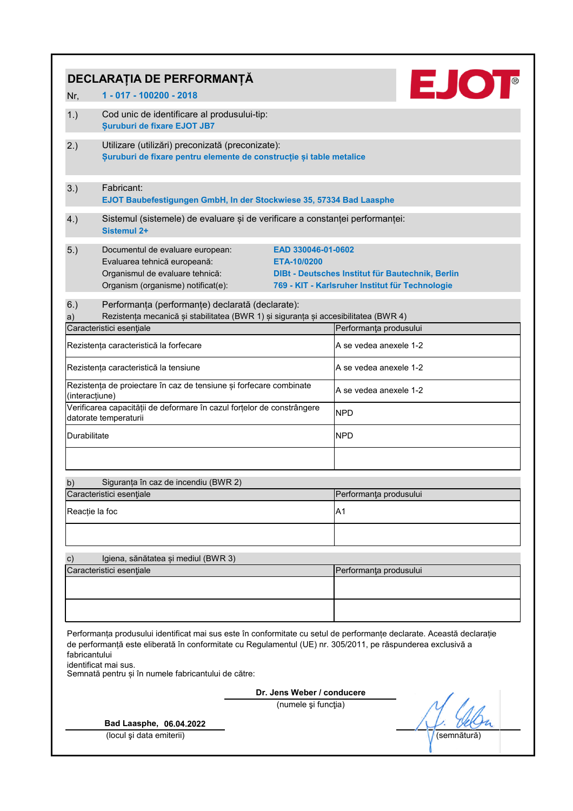|                | DECLARAȚIA DE PERFORMANȚĂ                                                                                                                                                                                                                                                                                           |                                   |                                                                                                     |  |  |  |  |  |
|----------------|---------------------------------------------------------------------------------------------------------------------------------------------------------------------------------------------------------------------------------------------------------------------------------------------------------------------|-----------------------------------|-----------------------------------------------------------------------------------------------------|--|--|--|--|--|
| Nr,            | 1 - 017 - 100200 - 2018                                                                                                                                                                                                                                                                                             |                                   | EJOT <sup>®</sup>                                                                                   |  |  |  |  |  |
| 1.)            | Cod unic de identificare al produsului-tip:<br><b>Şuruburi de fixare EJOT JB7</b>                                                                                                                                                                                                                                   |                                   |                                                                                                     |  |  |  |  |  |
| 2.)            | Utilizare (utilizări) preconizată (preconizate):<br>Suruburi de fixare pentru elemente de construcție și table metalice                                                                                                                                                                                             |                                   |                                                                                                     |  |  |  |  |  |
| 3.)            | Fabricant:<br>EJOT Baubefestigungen GmbH, In der Stockwiese 35, 57334 Bad Laasphe                                                                                                                                                                                                                                   |                                   |                                                                                                     |  |  |  |  |  |
| 4.)            | Sistemul (sistemele) de evaluare și de verificare a constanței performanței:<br>Sistemul 2+                                                                                                                                                                                                                         |                                   |                                                                                                     |  |  |  |  |  |
| 5.)            | Documentul de evaluare european:<br>Evaluarea tehnică europeană:<br>Organismul de evaluare tehnică:<br>Organism (organisme) notificat(e):                                                                                                                                                                           | EAD 330046-01-0602<br>ETA-10/0200 | DIBt - Deutsches Institut für Bautechnik, Berlin<br>769 - KIT - Karlsruher Institut für Technologie |  |  |  |  |  |
| 6.)<br>a)      | Performanța (performanțe) declarată (declarate):<br>Rezistența mecanică și stabilitatea (BWR 1) și siguranța și accesibilitatea (BWR 4)                                                                                                                                                                             |                                   |                                                                                                     |  |  |  |  |  |
|                | Caracteristici esențiale                                                                                                                                                                                                                                                                                            |                                   | Performanța produsului                                                                              |  |  |  |  |  |
|                | Rezistența caracteristică la forfecare                                                                                                                                                                                                                                                                              |                                   | A se vedea anexele 1-2                                                                              |  |  |  |  |  |
|                | Rezistența caracteristică la tensiune                                                                                                                                                                                                                                                                               |                                   | A se vedea anexele 1-2                                                                              |  |  |  |  |  |
| (interacțiune) | Rezistența de proiectare în caz de tensiune și forfecare combinate                                                                                                                                                                                                                                                  |                                   | A se vedea anexele 1-2                                                                              |  |  |  |  |  |
|                | Verificarea capacității de deformare în cazul forțelor de constrângere<br>datorate temperaturii                                                                                                                                                                                                                     |                                   | <b>NPD</b>                                                                                          |  |  |  |  |  |
| Durabilitate   |                                                                                                                                                                                                                                                                                                                     |                                   | <b>NPD</b>                                                                                          |  |  |  |  |  |
|                |                                                                                                                                                                                                                                                                                                                     |                                   |                                                                                                     |  |  |  |  |  |
| b)             | Siguranța în caz de incendiu (BWR 2)<br>Caracteristici esențiale                                                                                                                                                                                                                                                    |                                   | Performanța produsului                                                                              |  |  |  |  |  |
| Reacție la foc |                                                                                                                                                                                                                                                                                                                     |                                   | A <sub>1</sub>                                                                                      |  |  |  |  |  |
|                |                                                                                                                                                                                                                                                                                                                     |                                   |                                                                                                     |  |  |  |  |  |
| $\mathbf{c})$  | Igiena, sănătatea și mediul (BWR 3)                                                                                                                                                                                                                                                                                 |                                   |                                                                                                     |  |  |  |  |  |
|                | Caracteristici esențiale                                                                                                                                                                                                                                                                                            |                                   | Performanța produsului                                                                              |  |  |  |  |  |
|                |                                                                                                                                                                                                                                                                                                                     |                                   |                                                                                                     |  |  |  |  |  |
| fabricantului  | Performanța produsului identificat mai sus este în conformitate cu setul de performanțe declarate. Această declarație<br>de performanță este eliberată în conformitate cu Regulamentul (UE) nr. 305/2011, pe răspunderea exclusivă a<br>identificat mai sus.<br>Semnată pentru și în numele fabricantului de către: |                                   |                                                                                                     |  |  |  |  |  |
|                |                                                                                                                                                                                                                                                                                                                     | Dr. Jens Weber / conducere        |                                                                                                     |  |  |  |  |  |
|                |                                                                                                                                                                                                                                                                                                                     | (numele și funcția)               |                                                                                                     |  |  |  |  |  |
|                | Bad Laasphe, 06.04.2022                                                                                                                                                                                                                                                                                             |                                   |                                                                                                     |  |  |  |  |  |
|                | (locul și data emiterii)                                                                                                                                                                                                                                                                                            |                                   | (semnătură                                                                                          |  |  |  |  |  |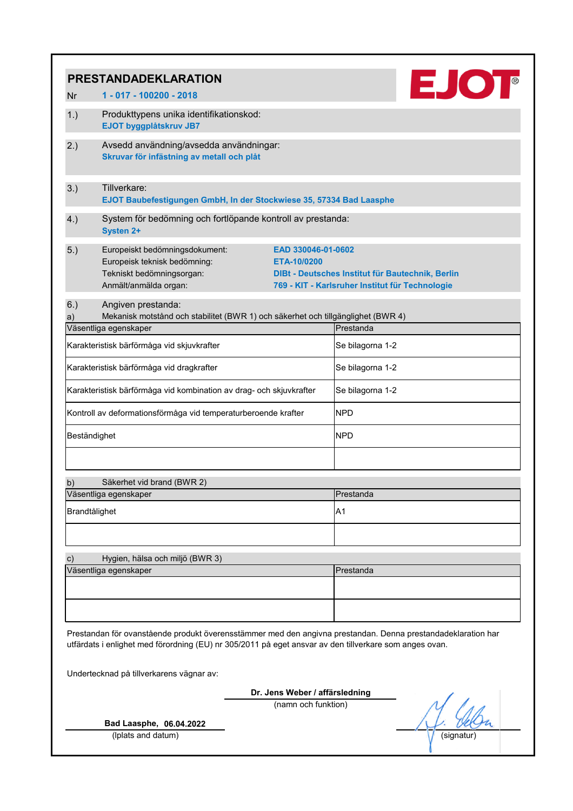|               | <b>PRESTANDADEKLARATION</b>                                                                                                                                                                                            |                                                                                                                           |
|---------------|------------------------------------------------------------------------------------------------------------------------------------------------------------------------------------------------------------------------|---------------------------------------------------------------------------------------------------------------------------|
| <b>Nr</b>     | 1 - 017 - 100200 - 2018                                                                                                                                                                                                | <b>EJOT</b>                                                                                                               |
| 1.)           | Produkttypens unika identifikationskod:<br>EJOT byggplåtskruv JB7                                                                                                                                                      |                                                                                                                           |
| 2.)           | Avsedd användning/avsedda användningar:<br>Skruvar för infästning av metall och plåt                                                                                                                                   |                                                                                                                           |
| 3.)           | Tillverkare:<br>EJOT Baubefestigungen GmbH, In der Stockwiese 35, 57334 Bad Laasphe                                                                                                                                    |                                                                                                                           |
| 4.)           | System för bedömning och fortlöpande kontroll av prestanda:<br><b>Systen 2+</b>                                                                                                                                        |                                                                                                                           |
| 5.)           | Europeiskt bedömningsdokument:<br>Europeisk teknisk bedömning:<br>ETA-10/0200<br>Tekniskt bedömningsorgan:<br>Anmält/anmälda organ:                                                                                    | EAD 330046-01-0602<br>DIBt - Deutsches Institut für Bautechnik, Berlin<br>769 - KIT - Karlsruher Institut für Technologie |
| 6.)<br>a)     | Angiven prestanda:<br>Mekanisk motstånd och stabilitet (BWR 1) och säkerhet och tillgänglighet (BWR 4)<br>Väsentliga egenskaper                                                                                        | Prestanda                                                                                                                 |
|               | Karakteristisk bärförmåga vid skjuvkrafter                                                                                                                                                                             | Se bilagorna 1-2                                                                                                          |
|               | Karakteristisk bärförmåga vid dragkrafter                                                                                                                                                                              | Se bilagorna 1-2                                                                                                          |
|               |                                                                                                                                                                                                                        |                                                                                                                           |
|               | Karakteristisk bärförmåga vid kombination av drag- och skjuvkrafter                                                                                                                                                    | Se bilagorna 1-2                                                                                                          |
|               | Kontroll av deformationsförmåga vid temperaturberoende krafter                                                                                                                                                         | <b>NPD</b>                                                                                                                |
| Beständighet  |                                                                                                                                                                                                                        | <b>NPD</b>                                                                                                                |
|               |                                                                                                                                                                                                                        |                                                                                                                           |
| b)            | Säkerhet vid brand (BWR 2)                                                                                                                                                                                             |                                                                                                                           |
|               | Väsentliga egenskaper                                                                                                                                                                                                  | Prestanda                                                                                                                 |
| Brandtålighet |                                                                                                                                                                                                                        | A <sub>1</sub>                                                                                                            |
|               |                                                                                                                                                                                                                        |                                                                                                                           |
| $\mathbf{c})$ | Hygien, hälsa och miljö (BWR 3)                                                                                                                                                                                        |                                                                                                                           |
|               | Väsentliga egenskaper                                                                                                                                                                                                  | Prestanda                                                                                                                 |
|               |                                                                                                                                                                                                                        |                                                                                                                           |
|               | Prestandan för ovanstående produkt överensstämmer med den angivna prestandan. Denna prestandadeklaration har<br>utfärdats i enlighet med förordning (EU) nr 305/2011 på eget ansvar av den tillverkare som anges ovan. |                                                                                                                           |
|               | Undertecknad på tillverkarens vägnar av:                                                                                                                                                                               |                                                                                                                           |
|               | Dr. Jens Weber / affärsledning                                                                                                                                                                                         |                                                                                                                           |
|               | (namn och funktion)                                                                                                                                                                                                    |                                                                                                                           |
|               | Bad Laasphe, 06.04.2022                                                                                                                                                                                                |                                                                                                                           |
|               | (Iplats and datum)                                                                                                                                                                                                     | (signatur)                                                                                                                |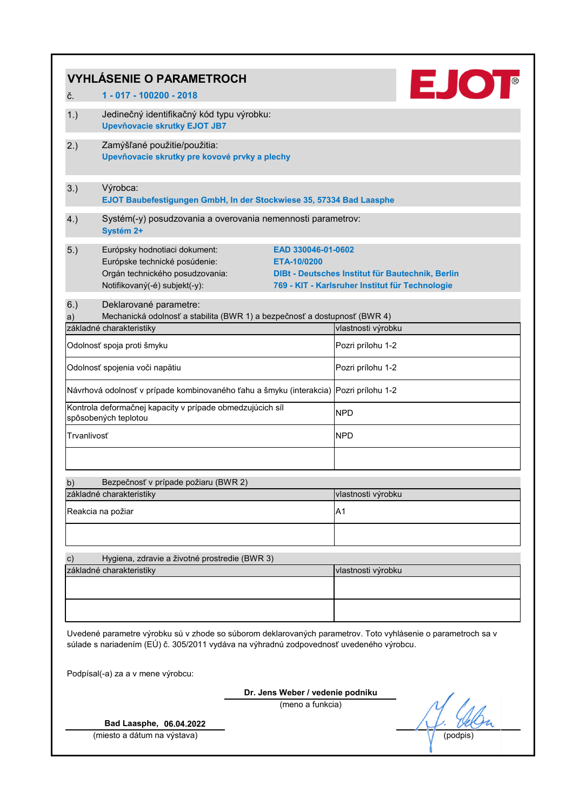|               | <b>VYHLÁSENIE O PARAMETROCH</b>                                                                                                                                                                         |                                                      | <b>EJOT</b>                                                                                         |  |  |  |
|---------------|---------------------------------------------------------------------------------------------------------------------------------------------------------------------------------------------------------|------------------------------------------------------|-----------------------------------------------------------------------------------------------------|--|--|--|
| č.            | 1 - 017 - 100200 - 2018                                                                                                                                                                                 |                                                      |                                                                                                     |  |  |  |
| 1.)           | Jedinečný identifikačný kód typu výrobku:<br><b>Upevňovacie skrutky EJOT JB7</b>                                                                                                                        |                                                      |                                                                                                     |  |  |  |
| 2.)           | Zamýšľané použitie/použitia:<br>Upevňovacie skrutky pre kovové prvky a plechy                                                                                                                           |                                                      |                                                                                                     |  |  |  |
| 3.)           | Výrobca:<br>EJOT Baubefestigungen GmbH, In der Stockwiese 35, 57334 Bad Laasphe                                                                                                                         |                                                      |                                                                                                     |  |  |  |
| 4.)           | Systém(-y) posudzovania a overovania nemennosti parametrov:<br>Systém 2+                                                                                                                                |                                                      |                                                                                                     |  |  |  |
| 5.)           | Európsky hodnotiaci dokument:<br>Európske technické posúdenie:<br>Orgán technického posudzovania:<br>Notifikovaný(-é) subjekt(-y):                                                                      | EAD 330046-01-0602<br>ETA-10/0200                    | DIBt - Deutsches Institut für Bautechnik, Berlin<br>769 - KIT - Karlsruher Institut für Technologie |  |  |  |
| 6.)<br>a)     | Deklarované parametre:<br>Mechanická odolnosť a stabilita (BWR 1) a bezpečnosť a dostupnosť (BWR 4)<br>základné charakteristiky                                                                         |                                                      | vlastnosti výrobku                                                                                  |  |  |  |
|               | Odolnosť spoja proti šmyku                                                                                                                                                                              |                                                      | Pozri prílohu 1-2                                                                                   |  |  |  |
|               | Odolnosť spojenia voči napätiu                                                                                                                                                                          |                                                      | Pozri prílohu 1-2                                                                                   |  |  |  |
|               | Návrhová odolnosť v prípade kombinovaného ťahu a šmyku (interakcia) Pozri prílohu 1-2                                                                                                                   |                                                      |                                                                                                     |  |  |  |
|               | Kontrola deformačnej kapacity v prípade obmedzujúcich síl<br>spôsobených teplotou                                                                                                                       |                                                      | <b>NPD</b>                                                                                          |  |  |  |
| Trvanlivosť   |                                                                                                                                                                                                         |                                                      | <b>NPD</b>                                                                                          |  |  |  |
| b)            | Bezpečnosť v prípade požiaru (BWR 2)                                                                                                                                                                    |                                                      |                                                                                                     |  |  |  |
|               | základné charakteristiky                                                                                                                                                                                |                                                      | vlastnosti výrobku                                                                                  |  |  |  |
|               | Reakcia na požiar                                                                                                                                                                                       |                                                      | A <sub>1</sub>                                                                                      |  |  |  |
|               |                                                                                                                                                                                                         |                                                      |                                                                                                     |  |  |  |
| $\mathbf{c})$ | Hygiena, zdravie a životné prostredie (BWR 3)                                                                                                                                                           |                                                      |                                                                                                     |  |  |  |
|               | základné charakteristiky                                                                                                                                                                                |                                                      | vlastnosti výrobku                                                                                  |  |  |  |
|               |                                                                                                                                                                                                         |                                                      |                                                                                                     |  |  |  |
|               |                                                                                                                                                                                                         |                                                      |                                                                                                     |  |  |  |
|               | Uvedené parametre výrobku sú v zhode so súborom deklarovaných parametrov. Toto vyhlásenie o parametroch sa v<br>súlade s nariadením (EÚ) č. 305/2011 vydáva na výhradnú zodpovednosť uvedeného výrobcu. |                                                      |                                                                                                     |  |  |  |
|               | Podpísal(-a) za a v mene výrobcu:                                                                                                                                                                       |                                                      |                                                                                                     |  |  |  |
|               |                                                                                                                                                                                                         | Dr. Jens Weber / vedenie podniku<br>(meno a funkcia) |                                                                                                     |  |  |  |
|               | Bad Laasphe, 06.04.2022                                                                                                                                                                                 |                                                      |                                                                                                     |  |  |  |
|               | (miesto a dátum na výstava)                                                                                                                                                                             |                                                      | (podpis                                                                                             |  |  |  |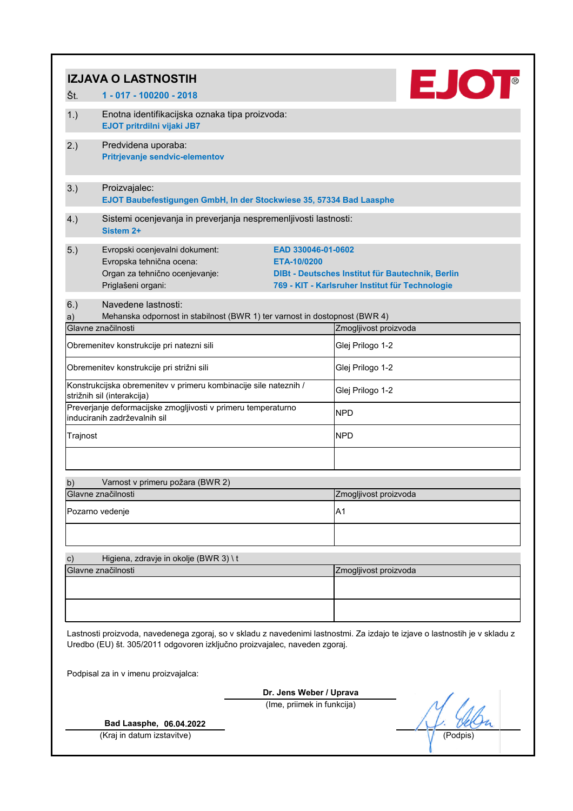|               | <b>IZJAVA O LASTNOSTIH</b>                                                                                         |                                                                                                                                          |
|---------------|--------------------------------------------------------------------------------------------------------------------|------------------------------------------------------------------------------------------------------------------------------------------|
| Št.           | 1 - 017 - 100200 - 2018                                                                                            | EJOT                                                                                                                                     |
| 1.)           | Enotna identifikacijska oznaka tipa proizvoda:<br>EJOT pritrdilni vijaki JB7                                       |                                                                                                                                          |
| 2.)           | Predvidena uporaba:<br>Pritrjevanje sendvic-elementov                                                              |                                                                                                                                          |
| 3.)           | Proizvajalec:<br>EJOT Baubefestigungen GmbH, In der Stockwiese 35, 57334 Bad Laasphe                               |                                                                                                                                          |
| 4.)           | Sistemi ocenjevanja in preverjanja nespremenljivosti lastnosti:<br>Sistem 2+                                       |                                                                                                                                          |
| 5.)           | Evropski ocenjevalni dokument:<br>Evropska tehnična ocena:<br>Organ za tehnično ocenjevanje:<br>Priglašeni organi: | EAD 330046-01-0602<br>ETA-10/0200<br>DIBt - Deutsches Institut für Bautechnik, Berlin<br>769 - KIT - Karlsruher Institut für Technologie |
| 6.)<br>a)     | Navedene lastnosti:<br>Mehanska odpornost in stabilnost (BWR 1) ter varnost in dostopnost (BWR 4)                  |                                                                                                                                          |
|               | Glavne značilnosti                                                                                                 | Zmogljivost proizvoda                                                                                                                    |
|               | Obremenitev konstrukcije pri natezni sili                                                                          | Glej Prilogo 1-2                                                                                                                         |
|               | Obremenitev konstrukcije pri strižni sili                                                                          | Glej Prilogo 1-2                                                                                                                         |
|               | Konstrukcijska obremenitev v primeru kombinacije sile nateznih /<br>strižnih sil (interakcija)                     | Glej Prilogo 1-2                                                                                                                         |
|               | Preverjanje deformacijske zmogljivosti v primeru temperaturno<br>induciranih zadrževalnih sil                      | <b>NPD</b>                                                                                                                               |
| Trajnost      |                                                                                                                    | <b>NPD</b>                                                                                                                               |
| b)            | Varnost v primeru požara (BWR 2)                                                                                   |                                                                                                                                          |
|               | Glavne značilnosti                                                                                                 | Zmogljivost proizvoda                                                                                                                    |
|               | Pozarno vedenje                                                                                                    | A <sub>1</sub>                                                                                                                           |
| $\mathbf{c})$ | Higiena, zdravje in okolje (BWR 3) \t                                                                              |                                                                                                                                          |
|               | Glavne značilnosti                                                                                                 | Zmogljivost proizvoda                                                                                                                    |
|               |                                                                                                                    |                                                                                                                                          |
|               | Uredbo (EU) št. 305/2011 odgovoren izključno proizvajalec, naveden zgoraj.                                         | Lastnosti proizvoda, navedenega zgoraj, so v skladu z navedenimi lastnostmi. Za izdajo te izjave o lastnostih je v skladu z              |
|               | Podpisal za in v imenu proizvajalca:                                                                               |                                                                                                                                          |
|               |                                                                                                                    | Dr. Jens Weber / Uprava                                                                                                                  |
|               |                                                                                                                    | (Ime, priimek in funkcija)                                                                                                               |
|               | Bad Laasphe, 06.04.2022                                                                                            |                                                                                                                                          |
|               | (Kraj in datum izstavitve)                                                                                         | (Podpis                                                                                                                                  |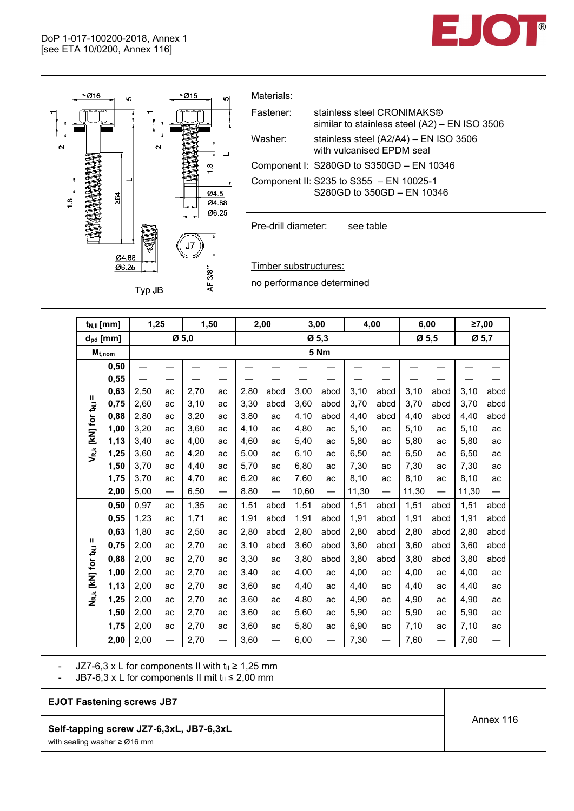

|  |                                              | $M_{t,nom}$ |      |                 |      |    |      |                          |       | 5 Nm                     |       |                               |       |                          |       |                          |
|--|----------------------------------------------|-------------|------|-----------------|------|----|------|--------------------------|-------|--------------------------|-------|-------------------------------|-------|--------------------------|-------|--------------------------|
|  |                                              | 0,50        |      |                 |      |    |      |                          |       |                          |       |                               |       |                          |       |                          |
|  |                                              | 0,55        |      |                 |      |    |      |                          |       |                          |       |                               |       |                          |       |                          |
|  |                                              | 0,63        | 2,50 | ac              | 2,70 | ac | 2,80 | abcd                     | 3,00  | abcd                     | 3,10  | abcd                          | 3,10  | abcd                     | 3,10  | abcd                     |
|  |                                              | 0,75        | 2,60 | ac              | 3,10 | ac | 3,30 | abcd                     | 3,60  | abcd                     | 3,70  | abcd                          | 3,70  | abcd                     | 3,70  | abcd                     |
|  |                                              | 0,88        | 2,80 | ac              | 3,20 | ac | 3,80 | ac                       | 4,10  | abcd                     | 4,40  | abcd                          | 4,40  | abcd                     | 4,40  | abcd                     |
|  |                                              | 1,00        | 3,20 | ac              | 3,60 | ac | 4,10 | ac                       | 4,80  | ac                       | 5,10  | ac                            | 5,10  | ac                       | 5,10  | ac                       |
|  | $V_{R,k}$ [KN] for $t_{N,l}$ =               | 1,13        | 3,40 | ac              | 4,00 | ac | 4,60 | ac                       | 5,40  | ac                       | 5,80  | ac                            | 5,80  | ac                       | 5,80  | ac                       |
|  |                                              | 1,25        | 3,60 | ac              | 4,20 | ac | 5,00 | ac                       | 6, 10 | ac                       | 6,50  | ac                            | 6,50  | ac                       | 6,50  | ac                       |
|  |                                              | 1,50        | 3,70 | ac              | 4,40 | ac | 5,70 | ac                       | 6,80  | ac                       | 7,30  | ac                            | 7,30  | ac                       | 7,30  | ac                       |
|  |                                              | 1,75        | 3,70 | ac              | 4,70 | ac | 6,20 | ac                       | 7,60  | ac                       | 8,10  | ac                            | 8,10  | ac                       | 8,10  | ac                       |
|  |                                              | 2,00        | 5,00 |                 | 6,50 |    | 8,80 | $\qquad \qquad -$        | 10,60 | $\overline{\phantom{0}}$ | 11,30 | $\overline{\phantom{0}}$      | 11,30 |                          | 11,30 | $\overline{\phantom{0}}$ |
|  |                                              | 0,50        | 0,97 | ac              | 1,35 | ac | 1,51 | abcd                     | 1,51  | abcd                     | 1,51  | abcd                          | 1,51  | abcd                     | 1,51  | abcd                     |
|  |                                              | 0,55        | 1,23 | ac              | 1,71 | ac | 1,91 | abcd                     | 1,91  | abcd                     | 1,91  | abcd                          | 1,91  | abcd                     | 1,91  | abcd                     |
|  |                                              | 0,63        | 1,80 | ac              | 2,50 | ac | 2,80 | abcd                     | 2,80  | abcd                     | 2,80  | abcd                          | 2,80  | abcd                     | 2,80  | abcd                     |
|  |                                              | 0,75        | 2,00 | ac              | 2,70 | ac | 3,10 | abcd                     | 3,60  | abcd                     | 3,60  | abcd                          | 3,60  | abcd                     | 3,60  | abcd                     |
|  |                                              | 0,88        | 2,00 | ac              | 2,70 | ac | 3,30 | ac                       | 3,80  | abcd                     | 3,80  | abcd                          | 3,80  | abcd                     | 3,80  | abcd                     |
|  |                                              | 1,00        | 2,00 | ac              | 2,70 | ac | 3,40 | ac                       | 4,00  | ac                       | 4,00  | ac                            | 4,00  | ac                       | 4,00  | ac                       |
|  | N <sub>R,k</sub> [KN] for t <sub>N,i</sub> = | 1,13        | 2,00 | ac              | 2,70 | ac | 3,60 | ac                       | 4,40  | ac                       | 4,40  | ac                            | 4,40  | ac                       | 4,40  | ac                       |
|  |                                              | 1,25        | 2,00 | ac              | 2,70 | ac | 3,60 | ac                       | 4,80  | ac                       | 4,90  | ac                            | 4,90  | ac                       | 4,90  | ac                       |
|  |                                              | 1,50        | 2,00 | ac              | 2,70 | ac | 3,60 | ac                       | 5,60  | ac                       | 5,90  | ac                            | 5,90  | ac                       | 5,90  | ac                       |
|  |                                              | 1,75        | 2,00 | ac              | 2,70 | ac | 3,60 | ac                       | 5,80  | ac                       | 6,90  | ac                            | 7,10  | ac                       | 7,10  | ac                       |
|  |                                              | 2,00        | 2,00 | $\qquad \qquad$ | 2,70 |    | 3,60 | $\overline{\phantom{0}}$ | 6,00  |                          | 7,30  | $\overbrace{\phantom{aaaaa}}$ | 7,60  | $\overline{\phantom{0}}$ | 7,60  | $\overline{\phantom{0}}$ |

- JZ7-6,3 x L for components II with  $t<sub>II</sub> \ge 1,25$  mm

- JB7-6,3 x L for components II mit  $t_{II} \le 2,00$  mm

**EJOT Fastening screws JB7**

**Self-tapping screw JZ7-6,3xL, JB7-6,3xL** with sealing washer ≥ Ø16 mm

Annex 116

EJOT